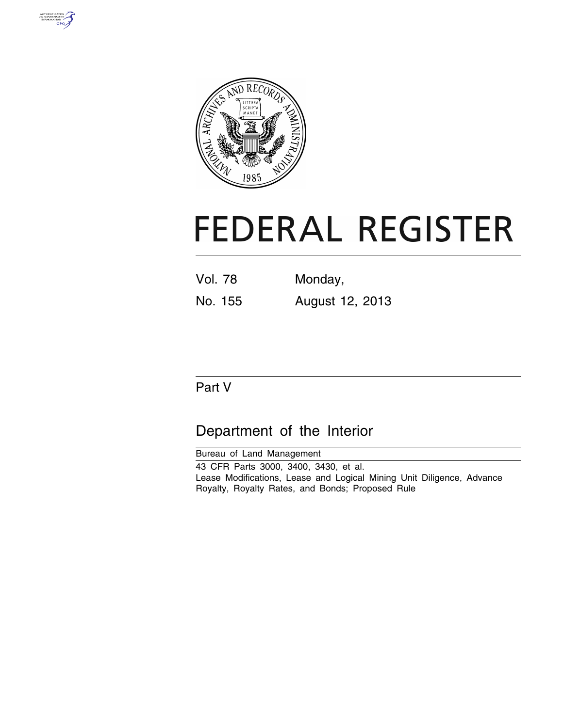



# **FEDERAL REGISTER**

| <b>Vol. 78</b> | Monday,         |
|----------------|-----------------|
| No. 155        | August 12, 2013 |

# Part V

# Department of the Interior

Bureau of Land Management 43 CFR Parts 3000, 3400, 3430, et al. Lease Modifications, Lease and Logical Mining Unit Diligence, Advance Royalty, Royalty Rates, and Bonds; Proposed Rule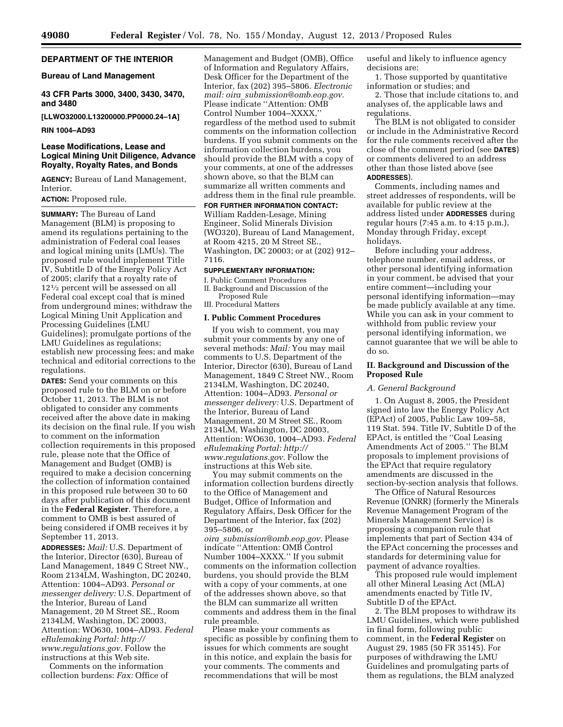# **DEPARTMENT OF THE INTERIOR**

#### **Bureau of Land Management**

# **43 CFR Parts 3000, 3400, 3430, 3470, and 3480**

**[LLWO32000.L13200000.PP0000.24–1A]** 

#### **RIN 1004–AD93**

# **Lease Modifications, Lease and Logical Mining Unit Diligence, Advance Royalty, Royalty Rates, and Bonds**

**AGENCY:** Bureau of Land Management, Interior.

#### **ACTION:** Proposed rule.

**SUMMARY:** The Bureau of Land Management (BLM) is proposing to amend its regulations pertaining to the administration of Federal coal leases and logical mining units (LMUs). The proposed rule would implement Title IV, Subtitle D of the Energy Policy Act of 2005; clarify that a royalty rate of 121⁄2 percent will be assessed on all Federal coal except coal that is mined from underground mines; withdraw the Logical Mining Unit Application and Processing Guidelines (LMU Guidelines); promulgate portions of the LMU Guidelines as regulations; establish new processing fees; and make technical and editorial corrections to the regulations.

**DATES:** Send your comments on this proposed rule to the BLM on or before October 11, 2013. The BLM is not obligated to consider any comments received after the above date in making its decision on the final rule. If you wish to comment on the information collection requirements in this proposed rule, please note that the Office of Management and Budget (OMB) is required to make a decision concerning the collection of information contained in this proposed rule between 30 to 60 days after publication of this document in the **Federal Register**. Therefore, a comment to OMB is best assured of being considered if OMB receives it by September 11, 2013.

**ADDRESSES:** *Mail:* U.S. Department of the Interior, Director (630), Bureau of Land Management, 1849 C Street NW., Room 2134LM, Washington, DC 20240, Attention: 1004–AD93. *Personal or messenger delivery:* U.S. Department of the Interior, Bureau of Land Management, 20 M Street SE., Room 2134LM, Washington, DC 20003, Attention: WO630, 1004–AD93. *Federal eRulemaking Portal: [http://](http://www.regulations.gov)  [www.regulations.gov.](http://www.regulations.gov)* Follow the instructions at this Web site.

Comments on the information collection burdens: *Fax:* Office of Management and Budget (OMB), Office of Information and Regulatory Affairs, Desk Officer for the Department of the Interior, fax (202) 395–5806. *Electronic mail: oira*\_*[submission@omb.eop.gov.](mailto:oira_submission@omb.eop.gov)*  Please indicate ''Attention: OMB Control Number 1004–XXXX,'' regardless of the method used to submit comments on the information collection burdens. If you submit comments on the information collection burdens, you should provide the BLM with a copy of your comments, at one of the addresses shown above, so that the BLM can summarize all written comments and address them in the final rule preamble.

**FOR FURTHER INFORMATION CONTACT:**  William Radden-Lesage, Mining Engineer, Solid Minerals Division (WO320), Bureau of Land Management, at Room 4215, 20 M Street SE., Washington, DC 20003; or at (202) 912– 7116.

#### **SUPPLEMENTARY INFORMATION:**

I. Public Comment Procedures

II. Background and Discussion of the Proposed Rule

III. Procedural Matters

# **I. Public Comment Procedures**

If you wish to comment, you may submit your comments by any one of several methods: *Mail:* You may mail comments to U.S. Department of the Interior, Director (630), Bureau of Land Management, 1849 C Street NW., Room 2134LM, Washington, DC 20240, Attention: 1004–AD93. *Personal or messenger delivery:* U.S. Department of the Interior, Bureau of Land Management, 20 M Street SE., Room 2134LM, Washington, DC 20003, Attention: WO630, 1004–AD93. *Federal eRulemaking Portal: [http://](http://www.regulations.gov)  [www.regulations.gov.](http://www.regulations.gov)* Follow the instructions at this Web site.

You may submit comments on the information collection burdens directly to the Office of Management and Budget, Office of Information and Regulatory Affairs, Desk Officer for the Department of the Interior, fax (202) 395–5806, or

*oira*\_*[submission@omb.eop.gov.](mailto:oira_submission@omb.eop.gov)* Please indicate ''Attention: OMB Control Number 1004–XXXX.'' If you submit comments on the information collection burdens, you should provide the BLM with a copy of your comments, at one of the addresses shown above, so that the BLM can summarize all written comments and address them in the final rule preamble.

Please make your comments as specific as possible by confining them to issues for which comments are sought in this notice, and explain the basis for your comments. The comments and recommendations that will be most

useful and likely to influence agency decisions are:

1. Those supported by quantitative information or studies; and

2. Those that include citations to, and analyses of, the applicable laws and regulations.

The BLM is not obligated to consider or include in the Administrative Record for the rule comments received after the close of the comment period (see **DATES**) or comments delivered to an address other than those listed above (see **ADDRESSES**).

Comments, including names and street addresses of respondents, will be available for public review at the address listed under **ADDRESSES** during regular hours (7:45 a.m. to 4:15 p.m.), Monday through Friday, except holidays.

Before including your address, telephone number, email address, or other personal identifying information in your comment, be advised that your entire comment—including your personal identifying information—may be made publicly available at any time. While you can ask in your comment to withhold from public review your personal identifying information, we cannot guarantee that we will be able to do so.

# **II. Background and Discussion of the Proposed Rule**

#### *A. General Background*

1. On August 8, 2005, the President signed into law the Energy Policy Act (EPAct) of 2005, Public Law 109–58, 119 Stat. 594. Title IV, Subtitle D of the EPAct, is entitled the ''Coal Leasing Amendments Act of 2005.'' The BLM proposals to implement provisions of the EPAct that require regulatory amendments are discussed in the section-by-section analysis that follows.

The Office of Natural Resources Revenue (ONRR) (formerly the Minerals Revenue Management Program of the Minerals Management Service) is proposing a companion rule that implements that part of Section 434 of the EPAct concerning the processes and standards for determining value for payment of advance royalties.

This proposed rule would implement all other Mineral Leasing Act (MLA) amendments enacted by Title IV, Subtitle D of the EPAct.

2. The BLM proposes to withdraw its LMU Guidelines, which were published in final form, following public comment, in the **Federal Register** on August 29, 1985 (50 FR 35145). For purposes of withdrawing the LMU Guidelines and promulgating parts of them as regulations, the BLM analyzed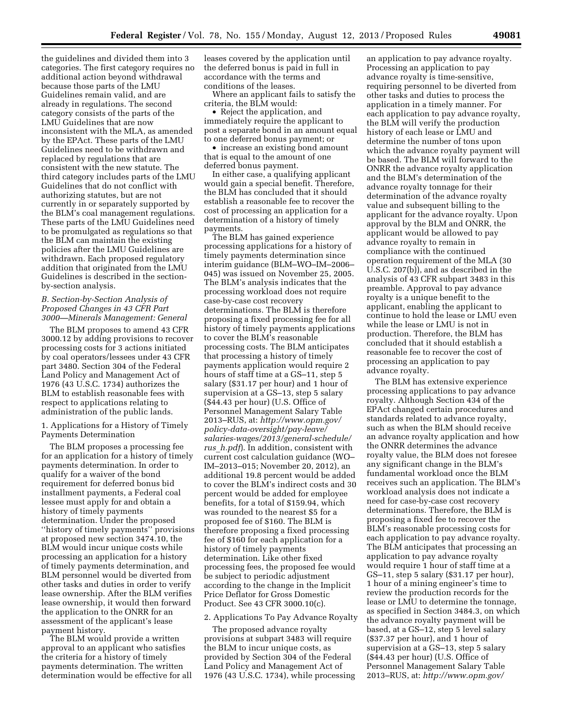the guidelines and divided them into 3 categories. The first category requires no additional action beyond withdrawal because those parts of the LMU Guidelines remain valid, and are already in regulations. The second category consists of the parts of the LMU Guidelines that are now inconsistent with the MLA, as amended by the EPAct. These parts of the LMU Guidelines need to be withdrawn and replaced by regulations that are consistent with the new statute. The third category includes parts of the LMU Guidelines that do not conflict with authorizing statutes, but are not currently in or separately supported by the BLM's coal management regulations. These parts of the LMU Guidelines need to be promulgated as regulations so that the BLM can maintain the existing policies after the LMU Guidelines are withdrawn. Each proposed regulatory addition that originated from the LMU Guidelines is described in the sectionby-section analysis.

#### *B. Section-by-Section Analysis of Proposed Changes in 43 CFR Part 3000—Minerals Management: General*

The BLM proposes to amend 43 CFR 3000.12 by adding provisions to recover processing costs for 3 actions initiated by coal operators/lessees under 43 CFR part 3480. Section 304 of the Federal Land Policy and Management Act of 1976 (43 U.S.C. 1734) authorizes the BLM to establish reasonable fees with respect to applications relating to administration of the public lands.

1. Applications for a History of Timely Payments Determination

The BLM proposes a processing fee for an application for a history of timely payments determination. In order to qualify for a waiver of the bond requirement for deferred bonus bid installment payments, a Federal coal lessee must apply for and obtain a history of timely payments determination. Under the proposed ''history of timely payments'' provisions at proposed new section 3474.10, the BLM would incur unique costs while processing an application for a history of timely payments determination, and BLM personnel would be diverted from other tasks and duties in order to verify lease ownership. After the BLM verifies lease ownership, it would then forward the application to the ONRR for an assessment of the applicant's lease payment history.

The BLM would provide a written approval to an applicant who satisfies the criteria for a history of timely payments determination. The written determination would be effective for all

leases covered by the application until the deferred bonus is paid in full in accordance with the terms and conditions of the leases.

Where an applicant fails to satisfy the criteria, the BLM would:

• Reject the application, and immediately require the applicant to post a separate bond in an amount equal to one deferred bonus payment; or

• increase an existing bond amount that is equal to the amount of one deferred bonus payment.

In either case, a qualifying applicant would gain a special benefit. Therefore, the BLM has concluded that it should establish a reasonable fee to recover the cost of processing an application for a determination of a history of timely payments.

The BLM has gained experience processing applications for a history of timely payments determination since interim guidance (BLM–WO–IM–2006– 045) was issued on November 25, 2005. The BLM's analysis indicates that the processing workload does not require case-by-case cost recovery determinations. The BLM is therefore proposing a fixed processing fee for all history of timely payments applications to cover the BLM's reasonable processing costs. The BLM anticipates that processing a history of timely payments application would require 2 hours of staff time at a GS–11, step 5 salary (\$31.17 per hour) and 1 hour of supervision at a GS–13, step 5 salary (\$44.43 per hour) (U.S. Office of Personnel Management Salary Table 2013–RUS, at: *[http://www.opm.gov/](http://www.opm.gov/policy-data-oversight/pay-leave/salaries-wages/2013/general-schedule/rus_h.pdf) [policy-data-oversight/pay-leave/](http://www.opm.gov/policy-data-oversight/pay-leave/salaries-wages/2013/general-schedule/rus_h.pdf) [salaries-wages/2013/general-schedule/](http://www.opm.gov/policy-data-oversight/pay-leave/salaries-wages/2013/general-schedule/rus_h.pdf) rus*\_*[h.pdf](http://www.opm.gov/policy-data-oversight/pay-leave/salaries-wages/2013/general-schedule/rus_h.pdf)*). In addition, consistent with current cost calculation guidance (WO– IM–2013–015; November 20, 2012), an additional 19.8 percent would be added to cover the BLM's indirect costs and 30 percent would be added for employee benefits, for a total of \$159.94, which was rounded to the nearest \$5 for a proposed fee of \$160. The BLM is therefore proposing a fixed processing fee of \$160 for each application for a history of timely payments determination. Like other fixed processing fees, the proposed fee would be subject to periodic adjustment according to the change in the Implicit Price Deflator for Gross Domestic Product. See 43 CFR 3000.10(c).

#### 2. Applications To Pay Advance Royalty

The proposed advance royalty provisions at subpart 3483 will require the BLM to incur unique costs, as provided by Section 304 of the Federal Land Policy and Management Act of 1976 (43 U.S.C. 1734), while processing an application to pay advance royalty. Processing an application to pay advance royalty is time-sensitive, requiring personnel to be diverted from other tasks and duties to process the application in a timely manner. For each application to pay advance royalty, the BLM will verify the production history of each lease or LMU and determine the number of tons upon which the advance royalty payment will be based. The BLM will forward to the ONRR the advance royalty application and the BLM's determination of the advance royalty tonnage for their determination of the advance royalty value and subsequent billing to the applicant for the advance royalty. Upon approval by the BLM and ONRR, the applicant would be allowed to pay advance royalty to remain in compliance with the continued operation requirement of the MLA (30 U.S.C. 207(b)), and as described in the analysis of 43 CFR subpart 3483 in this preamble. Approval to pay advance royalty is a unique benefit to the applicant, enabling the applicant to continue to hold the lease or LMU even while the lease or LMU is not in production. Therefore, the BLM has concluded that it should establish a reasonable fee to recover the cost of processing an application to pay advance royalty.

The BLM has extensive experience processing applications to pay advance royalty. Although Section 434 of the EPAct changed certain procedures and standards related to advance royalty, such as when the BLM should receive an advance royalty application and how the ONRR determines the advance royalty value, the BLM does not foresee any significant change in the BLM's fundamental workload once the BLM receives such an application. The BLM's workload analysis does not indicate a need for case-by-case cost recovery determinations. Therefore, the BLM is proposing a fixed fee to recover the BLM's reasonable processing costs for each application to pay advance royalty. The BLM anticipates that processing an application to pay advance royalty would require 1 hour of staff time at a GS–11, step 5 salary (\$31.17 per hour), 1 hour of a mining engineer's time to review the production records for the lease or LMU to determine the tonnage, as specified in Section 3484.3, on which the advance royalty payment will be based, at a GS–12, step 5 level salary (\$37.37 per hour), and 1 hour of supervision at a GS–13, step 5 salary (\$44.43 per hour) (U.S. Office of Personnel Management Salary Table 2013–RUS, at: *<http://www.opm.gov/>*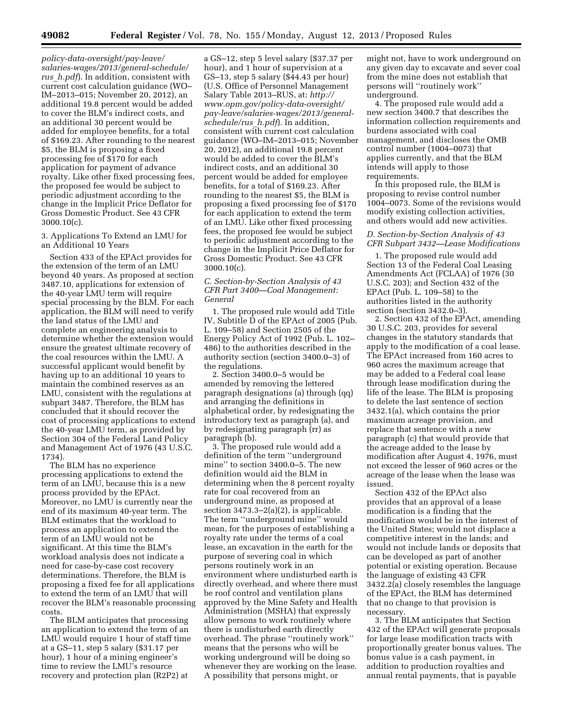*policy-data-oversight/pay-leave/ salaries-wages/2013/general-schedule/ rus*\_*h.pdf*). In addition, consistent with current cost calculation guidance (WO– IM–2013–015; November 20, 2012), an additional 19.8 percent would be added to cover the BLM's indirect costs, and an additional 30 percent would be added for employee benefits, for a total of \$169.23. After rounding to the nearest \$5, the BLM is proposing a fixed processing fee of \$170 for each application for payment of advance royalty. Like other fixed processing fees, the proposed fee would be subject to periodic adjustment according to the change in the Implicit Price Deflator for Gross Domestic Product. See 43 CFR 3000.10(c).

3. Applications To Extend an LMU for an Additional 10 Years

Section 433 of the EPAct provides for the extension of the term of an LMU beyond 40 years. As proposed at section 3487.10, applications for extension of the 40-year LMU term will require special processing by the BLM. For each application, the BLM will need to verify the land status of the LMU and complete an engineering analysis to determine whether the extension would ensure the greatest ultimate recovery of the coal resources within the LMU. A successful applicant would benefit by having up to an additional 10 years to maintain the combined reserves as an LMU, consistent with the regulations at subpart 3487. Therefore, the BLM has concluded that it should recover the cost of processing applications to extend the 40-year LMU term, as provided by Section 304 of the Federal Land Policy and Management Act of 1976 (43 U.S.C. 1734).

The BLM has no experience processing applications to extend the term of an LMU, because this is a new process provided by the EPAct. Moreover, no LMU is currently near the end of its maximum 40-year term. The BLM estimates that the workload to process an application to extend the term of an LMU would not be significant. At this time the BLM's workload analysis does not indicate a need for case-by-case cost recovery determinations. Therefore, the BLM is proposing a fixed fee for all applications to extend the term of an LMU that will recover the BLM's reasonable processing costs.

The BLM anticipates that processing an application to extend the term of an LMU would require 1 hour of staff time at a GS–11, step 5 salary (\$31.17 per hour), 1 hour of a mining engineer's time to review the LMU's resource recovery and protection plan (R2P2) at

a GS–12, step 5 level salary (\$37.37 per hour), and 1 hour of supervision at a GS–13, step 5 salary (\$44.43 per hour) (U.S. Office of Personnel Management Salary Table 2013–RUS, at: *[http://](http://www.opm.gov/policy-data-oversight/pay-leave/salaries-wages/2013/general-schedule/rus_h.pdf) [www.opm.gov/policy-data-oversight/](http://www.opm.gov/policy-data-oversight/pay-leave/salaries-wages/2013/general-schedule/rus_h.pdf)  [pay-leave/salaries-wages/2013/general](http://www.opm.gov/policy-data-oversight/pay-leave/salaries-wages/2013/general-schedule/rus_h.pdf)[schedule/rus](http://www.opm.gov/policy-data-oversight/pay-leave/salaries-wages/2013/general-schedule/rus_h.pdf)*\_*h.pdf*). In addition, consistent with current cost calculation guidance (WO–IM–2013–015; November 20, 2012), an additional 19.8 percent would be added to cover the BLM's indirect costs, and an additional 30 percent would be added for employee benefits, for a total of \$169.23. After rounding to the nearest \$5, the BLM is proposing a fixed processing fee of \$170 for each application to extend the term of an LMU. Like other fixed processing fees, the proposed fee would be subject to periodic adjustment according to the change in the Implicit Price Deflator for Gross Domestic Product. See 43 CFR 3000.10(c).

# *C. Section-by-Section Analysis of 43 CFR Part 3400—Coal Management: General*

1. The proposed rule would add Title IV, Subtitle D of the EPAct of 2005 (Pub. L. 109–58) and Section 2505 of the Energy Policy Act of 1992 (Pub. L. 102– 486) to the authorities described in the authority section (section 3400.0–3) of the regulations.

2. Section 3400.0–5 would be amended by removing the lettered paragraph designations (a) through (qq) and arranging the definitions in alphabetical order, by redesignating the introductory text as paragraph (a), and by redesignating paragraph (rr) as paragraph (b).

3. The proposed rule would add a definition of the term ''underground mine'' to section 3400.0–5. The new definition would aid the BLM in determining when the 8 percent royalty rate for coal recovered from an underground mine, as proposed at section 3473.3–2(a)(2), is applicable. The term ''underground mine'' would mean, for the purposes of establishing a royalty rate under the terms of a coal lease, an excavation in the earth for the purpose of severing coal in which persons routinely work in an environment where undisturbed earth is directly overhead, and where there must be roof control and ventilation plans approved by the Mine Safety and Health Administration (MSHA) that expressly allow persons to work routinely where there is undisturbed earth directly overhead. The phrase ''routinely work'' means that the persons who will be working underground will be doing so whenever they are working on the lease. A possibility that persons might, or

might not, have to work underground on any given day to excavate and sever coal from the mine does not establish that persons will ''routinely work'' underground.

4. The proposed rule would add a new section 3400.7 that describes the information collection requirements and burdens associated with coal management, and discloses the OMB control number (1004–0073) that applies currently, and that the BLM intends will apply to those requirements.

In this proposed rule, the BLM is proposing to revise control number 1004–0073. Some of the revisions would modify existing collection activities, and others would add new activities.

#### *D. Section-by-Section Analysis of 43 CFR Subpart 3432—Lease Modifications*

1. The proposed rule would add Section 13 of the Federal Coal Leasing Amendments Act (FCLAA) of 1976 (30 U.S.C. 203); and Section 432 of the EPAct (Pub. L. 109–58) to the authorities listed in the authority section (section 3432.0–3).

2. Section 432 of the EPAct, amending 30 U.S.C. 203, provides for several changes in the statutory standards that apply to the modification of a coal lease. The EPAct increased from 160 acres to 960 acres the maximum acreage that may be added to a Federal coal lease through lease modification during the life of the lease. The BLM is proposing to delete the last sentence of section 3432.1(a), which contains the prior maximum acreage provision, and replace that sentence with a new paragraph (c) that would provide that the acreage added to the lease by modification after August 4, 1976, must not exceed the lesser of 960 acres or the acreage of the lease when the lease was issued.

Section 432 of the EPAct also provides that an approval of a lease modification is a finding that the modification would be in the interest of the United States; would not displace a competitive interest in the lands; and would not include lands or deposits that can be developed as part of another potential or existing operation. Because the language of existing 43 CFR 3432.2(a) closely resembles the language of the EPAct, the BLM has determined that no change to that provision is necessary.

3. The BLM anticipates that Section 432 of the EPAct will generate proposals for large lease modification tracts with proportionally greater bonus values. The bonus value is a cash payment, in addition to production royalties and annual rental payments, that is payable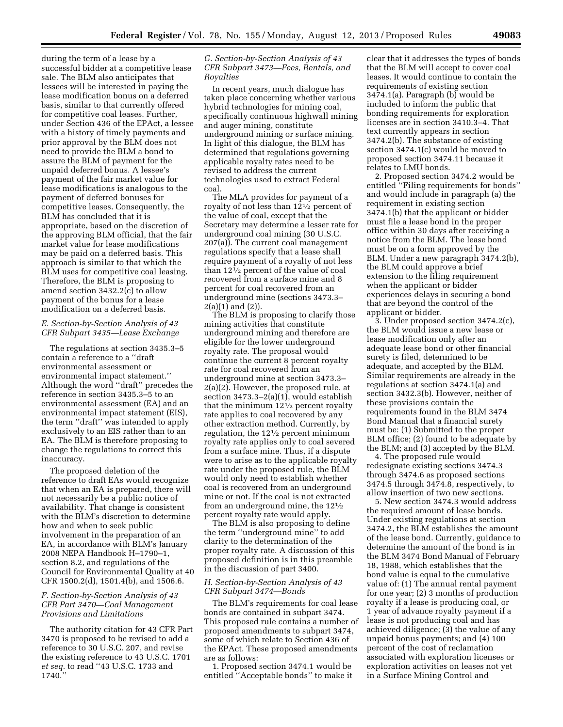during the term of a lease by a successful bidder at a competitive lease sale. The BLM also anticipates that lessees will be interested in paying the lease modification bonus on a deferred basis, similar to that currently offered for competitive coal leases. Further, under Section 436 of the EPAct, a lessee with a history of timely payments and prior approval by the BLM does not need to provide the BLM a bond to assure the BLM of payment for the unpaid deferred bonus. A lessee's payment of the fair market value for lease modifications is analogous to the payment of deferred bonuses for competitive leases. Consequently, the BLM has concluded that it is appropriate, based on the discretion of the approving BLM official, that the fair market value for lease modifications may be paid on a deferred basis. This approach is similar to that which the BLM uses for competitive coal leasing. Therefore, the BLM is proposing to amend section 3432.2(c) to allow payment of the bonus for a lease modification on a deferred basis.

# *E. Section-by-Section Analysis of 43 CFR Subpart 3435—Lease Exchange*

The regulations at section 3435.3–5 contain a reference to a ''draft environmental assessment or environmental impact statement.'' Although the word ''draft'' precedes the reference in section 3435.3–5 to an environmental assessment (EA) and an environmental impact statement (EIS), the term ''draft'' was intended to apply exclusively to an EIS rather than to an EA. The BLM is therefore proposing to change the regulations to correct this inaccuracy.

The proposed deletion of the reference to draft EAs would recognize that when an EA is prepared, there will not necessarily be a public notice of availability. That change is consistent with the BLM's discretion to determine how and when to seek public involvement in the preparation of an EA, in accordance with BLM's January 2008 NEPA Handbook H–1790–1, section 8.2, and regulations of the Council for Environmental Quality at 40 CFR 1500.2(d), 1501.4(b), and 1506.6.

# *F. Section-by-Section Analysis of 43 CFR Part 3470—Coal Management Provisions and Limitations*

The authority citation for 43 CFR Part 3470 is proposed to be revised to add a reference to 30 U.S.C. 207, and revise the existing reference to 43 U.S.C. 1701 *et seq.* to read ''43 U.S.C. 1733 and 1740.''

# *G. Section-by-Section Analysis of 43 CFR Subpart 3473—Fees, Rentals, and Royalties*

In recent years, much dialogue has taken place concerning whether various hybrid technologies for mining coal, specifically continuous highwall mining and auger mining, constitute underground mining or surface mining. In light of this dialogue, the BLM has determined that regulations governing applicable royalty rates need to be revised to address the current technologies used to extract Federal coal.

The MLA provides for payment of a royalty of not less than 121⁄2 percent of the value of coal, except that the Secretary may determine a lesser rate for underground coal mining (30 U.S.C. 207(a)). The current coal management regulations specify that a lease shall require payment of a royalty of not less than 121⁄2 percent of the value of coal recovered from a surface mine and 8 percent for coal recovered from an underground mine (sections 3473.3– 2(a)(1) and (2)).

The BLM is proposing to clarify those mining activities that constitute underground mining and therefore are eligible for the lower underground royalty rate. The proposal would continue the current 8 percent royalty rate for coal recovered from an underground mine at section 3473.3– 2(a)(2). However, the proposed rule, at section 3473.3–2(a)(1), would establish that the minimum  $12\frac{1}{2}$  percent royalty rate applies to coal recovered by any other extraction method. Currently, by regulation, the 121⁄2 percent minimum royalty rate applies only to coal severed from a surface mine. Thus, if a dispute were to arise as to the applicable royalty rate under the proposed rule, the BLM would only need to establish whether coal is recovered from an underground mine or not. If the coal is not extracted from an underground mine, the 121⁄2 percent royalty rate would apply.

The BLM is also proposing to define the term ''underground mine'' to add clarity to the determination of the proper royalty rate. A discussion of this proposed definition is in this preamble in the discussion of part 3400.

#### *H. Section-by-Section Analysis of 43 CFR Subpart 3474—Bonds*

The BLM's requirements for coal lease bonds are contained in subpart 3474. This proposed rule contains a number of proposed amendments to subpart 3474, some of which relate to Section 436 of the EPAct. These proposed amendments are as follows:

1. Proposed section 3474.1 would be entitled ''Acceptable bonds'' to make it clear that it addresses the types of bonds that the BLM will accept to cover coal leases. It would continue to contain the requirements of existing section 3474.1(a). Paragraph (b) would be included to inform the public that bonding requirements for exploration licenses are in section 3410.3–4. That text currently appears in section 3474.2(b). The substance of existing section 3474.1(c) would be moved to proposed section 3474.11 because it relates to LMU bonds.

2. Proposed section 3474.2 would be entitled ''Filing requirements for bonds'' and would include in paragraph (a) the requirement in existing section 3474.1(b) that the applicant or bidder must file a lease bond in the proper office within 30 days after receiving a notice from the BLM. The lease bond must be on a form approved by the BLM. Under a new paragraph 3474.2(b), the BLM could approve a brief extension to the filing requirement when the applicant or bidder experiences delays in securing a bond that are beyond the control of the applicant or bidder.

3. Under proposed section 3474.2(c), the BLM would issue a new lease or lease modification only after an adequate lease bond or other financial surety is filed, determined to be adequate, and accepted by the BLM. Similar requirements are already in the regulations at section 3474.1(a) and section 3432.3(b). However, neither of these provisions contain the requirements found in the BLM 3474 Bond Manual that a financial surety must be: (1) Submitted to the proper BLM office; (2) found to be adequate by the BLM; and (3) accepted by the BLM.

4. The proposed rule would redesignate existing sections 3474.3 through 3474.6 as proposed sections 3474.5 through 3474.8, respectively, to allow insertion of two new sections.

5. New section 3474.3 would address the required amount of lease bonds. Under existing regulations at section 3474.2, the BLM establishes the amount of the lease bond. Currently, guidance to determine the amount of the bond is in the BLM 3474 Bond Manual of February 18, 1988, which establishes that the bond value is equal to the cumulative value of: (1) The annual rental payment for one year; (2) 3 months of production royalty if a lease is producing coal, or 1 year of advance royalty payment if a lease is not producing coal and has achieved diligence; (3) the value of any unpaid bonus payments; and (4) 100 percent of the cost of reclamation associated with exploration licenses or exploration activities on leases not yet in a Surface Mining Control and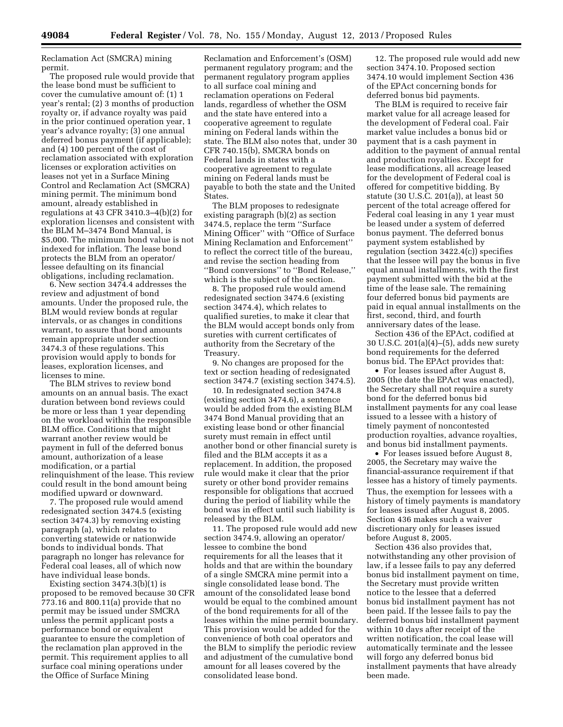Reclamation Act (SMCRA) mining permit.

The proposed rule would provide that the lease bond must be sufficient to cover the cumulative amount of: (1) 1 year's rental; (2) 3 months of production royalty or, if advance royalty was paid in the prior continued operation year, 1 year's advance royalty; (3) one annual deferred bonus payment (if applicable); and (4) 100 percent of the cost of reclamation associated with exploration licenses or exploration activities on leases not yet in a Surface Mining Control and Reclamation Act (SMCRA) mining permit. The minimum bond amount, already established in regulations at 43 CFR 3410.3–4(b)(2) for exploration licenses and consistent with the BLM M–3474 Bond Manual, is \$5,000. The minimum bond value is not indexed for inflation. The lease bond protects the BLM from an operator/ lessee defaulting on its financial obligations, including reclamation.

6. New section 3474.4 addresses the review and adjustment of bond amounts. Under the proposed rule, the BLM would review bonds at regular intervals, or as changes in conditions warrant, to assure that bond amounts remain appropriate under section 3474.3 of these regulations. This provision would apply to bonds for leases, exploration licenses, and licenses to mine.

The BLM strives to review bond amounts on an annual basis. The exact duration between bond reviews could be more or less than 1 year depending on the workload within the responsible BLM office. Conditions that might warrant another review would be payment in full of the deferred bonus amount, authorization of a lease modification, or a partial relinquishment of the lease. This review could result in the bond amount being modified upward or downward.

7. The proposed rule would amend redesignated section 3474.5 (existing section 3474.3) by removing existing paragraph (a), which relates to converting statewide or nationwide bonds to individual bonds. That paragraph no longer has relevance for Federal coal leases, all of which now have individual lease bonds.

Existing section 3474.3(b)(1) is proposed to be removed because 30 CFR 773.16 and 800.11(a) provide that no permit may be issued under SMCRA unless the permit applicant posts a performance bond or equivalent guarantee to ensure the completion of the reclamation plan approved in the permit. This requirement applies to all surface coal mining operations under the Office of Surface Mining

Reclamation and Enforcement's (OSM) permanent regulatory program; and the permanent regulatory program applies to all surface coal mining and reclamation operations on Federal lands, regardless of whether the OSM and the state have entered into a cooperative agreement to regulate mining on Federal lands within the state. The BLM also notes that, under 30 CFR 740.15(b), SMCRA bonds on Federal lands in states with a cooperative agreement to regulate mining on Federal lands must be payable to both the state and the United **States** 

The BLM proposes to redesignate existing paragraph (b)(2) as section 3474.5, replace the term ''Surface Mining Officer'' with ''Office of Surface Mining Reclamation and Enforcement'' to reflect the correct title of the bureau, and revise the section heading from ''Bond conversions'' to ''Bond Release,'' which is the subject of the section.

8. The proposed rule would amend redesignated section 3474.6 (existing section 3474.4), which relates to qualified sureties, to make it clear that the BLM would accept bonds only from sureties with current certificates of authority from the Secretary of the Treasury.

9. No changes are proposed for the text or section heading of redesignated section 3474.7 (existing section 3474.5).

10. In redesignated section 3474.8 (existing section 3474.6), a sentence would be added from the existing BLM 3474 Bond Manual providing that an existing lease bond or other financial surety must remain in effect until another bond or other financial surety is filed and the BLM accepts it as a replacement. In addition, the proposed rule would make it clear that the prior surety or other bond provider remains responsible for obligations that accrued during the period of liability while the bond was in effect until such liability is released by the BLM.

11. The proposed rule would add new section 3474.9, allowing an operator/ lessee to combine the bond requirements for all the leases that it holds and that are within the boundary of a single SMCRA mine permit into a single consolidated lease bond. The amount of the consolidated lease bond would be equal to the combined amount of the bond requirements for all of the leases within the mine permit boundary. This provision would be added for the convenience of both coal operators and the BLM to simplify the periodic review and adjustment of the cumulative bond amount for all leases covered by the consolidated lease bond.

12. The proposed rule would add new section 3474.10. Proposed section 3474.10 would implement Section 436 of the EPAct concerning bonds for deferred bonus bid payments.

The BLM is required to receive fair market value for all acreage leased for the development of Federal coal. Fair market value includes a bonus bid or payment that is a cash payment in addition to the payment of annual rental and production royalties. Except for lease modifications, all acreage leased for the development of Federal coal is offered for competitive bidding. By statute (30 U.S.C. 201(a)), at least 50 percent of the total acreage offered for Federal coal leasing in any 1 year must be leased under a system of deferred bonus payment. The deferred bonus payment system established by regulation (section 3422.4(c)) specifies that the lessee will pay the bonus in five equal annual installments, with the first payment submitted with the bid at the time of the lease sale. The remaining four deferred bonus bid payments are paid in equal annual installments on the first, second, third, and fourth anniversary dates of the lease.

Section 436 of the EPAct, codified at 30 U.S.C. 201(a)(4)–(5), adds new surety bond requirements for the deferred bonus bid. The EPAct provides that:

• For leases issued after August 8, 2005 (the date the EPAct was enacted), the Secretary shall not require a surety bond for the deferred bonus bid installment payments for any coal lease issued to a lessee with a history of timely payment of noncontested production royalties, advance royalties, and bonus bid installment payments.

• For leases issued before August 8, 2005, the Secretary may waive the financial-assurance requirement if that lessee has a history of timely payments. Thus, the exemption for lessees with a history of timely payments is mandatory for leases issued after August 8, 2005. Section 436 makes such a waiver discretionary only for leases issued before August 8, 2005.

Section 436 also provides that, notwithstanding any other provision of law, if a lessee fails to pay any deferred bonus bid installment payment on time, the Secretary must provide written notice to the lessee that a deferred bonus bid installment payment has not been paid. If the lessee fails to pay the deferred bonus bid installment payment within 10 days after receipt of the written notification, the coal lease will automatically terminate and the lessee will forgo any deferred bonus bid installment payments that have already been made.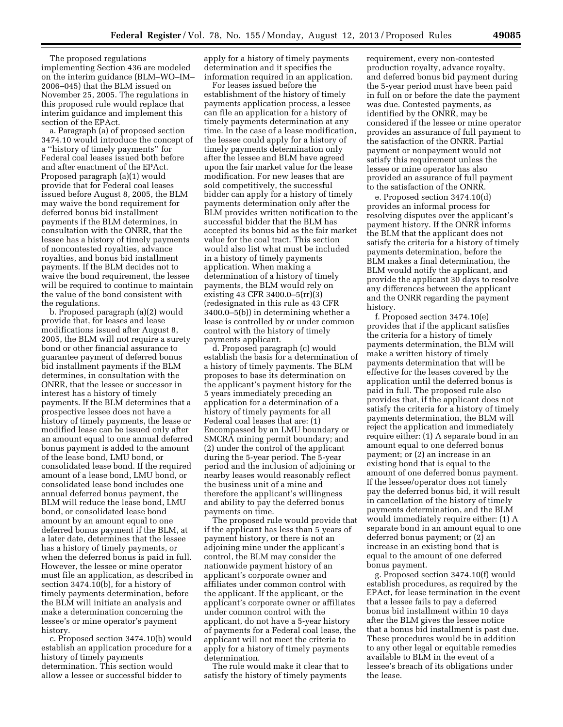The proposed regulations implementing Section 436 are modeled on the interim guidance (BLM–WO–IM– 2006–045) that the BLM issued on November 25, 2005. The regulations in this proposed rule would replace that interim guidance and implement this section of the EPAct.

a. Paragraph (a) of proposed section 3474.10 would introduce the concept of a ''history of timely payments'' for Federal coal leases issued both before and after enactment of the EPAct. Proposed paragraph (a)(1) would provide that for Federal coal leases issued before August 8, 2005, the BLM may waive the bond requirement for deferred bonus bid installment payments if the BLM determines, in consultation with the ONRR, that the lessee has a history of timely payments of noncontested royalties, advance royalties, and bonus bid installment payments. If the BLM decides not to waive the bond requirement, the lessee will be required to continue to maintain the value of the bond consistent with the regulations.

b. Proposed paragraph (a)(2) would provide that, for leases and lease modifications issued after August 8, 2005, the BLM will not require a surety bond or other financial assurance to guarantee payment of deferred bonus bid installment payments if the BLM determines, in consultation with the ONRR, that the lessee or successor in interest has a history of timely payments. If the BLM determines that a prospective lessee does not have a history of timely payments, the lease or modified lease can be issued only after an amount equal to one annual deferred bonus payment is added to the amount of the lease bond, LMU bond, or consolidated lease bond. If the required amount of a lease bond, LMU bond, or consolidated lease bond includes one annual deferred bonus payment, the BLM will reduce the lease bond, LMU bond, or consolidated lease bond amount by an amount equal to one deferred bonus payment if the BLM, at a later date, determines that the lessee has a history of timely payments, or when the deferred bonus is paid in full. However, the lessee or mine operator must file an application, as described in section 3474.10(b), for a history of timely payments determination, before the BLM will initiate an analysis and make a determination concerning the lessee's or mine operator's payment history.

c. Proposed section 3474.10(b) would establish an application procedure for a history of timely payments determination. This section would allow a lessee or successful bidder to

apply for a history of timely payments determination and it specifies the information required in an application.

For leases issued before the establishment of the history of timely payments application process, a lessee can file an application for a history of timely payments determination at any time. In the case of a lease modification, the lessee could apply for a history of timely payments determination only after the lessee and BLM have agreed upon the fair market value for the lease modification. For new leases that are sold competitively, the successful bidder can apply for a history of timely payments determination only after the BLM provides written notification to the successful bidder that the BLM has accepted its bonus bid as the fair market value for the coal tract. This section would also list what must be included in a history of timely payments application. When making a determination of a history of timely payments, the BLM would rely on existing 43 CFR 3400.0–5(rr)(3) (redesignated in this rule as 43 CFR 3400.0–5(b)) in determining whether a lease is controlled by or under common control with the history of timely payments applicant.

d. Proposed paragraph (c) would establish the basis for a determination of a history of timely payments. The BLM proposes to base its determination on the applicant's payment history for the 5 years immediately preceding an application for a determination of a history of timely payments for all Federal coal leases that are: (1) Encompassed by an LMU boundary or SMCRA mining permit boundary; and (2) under the control of the applicant during the 5-year period. The 5-year period and the inclusion of adjoining or nearby leases would reasonably reflect the business unit of a mine and therefore the applicant's willingness and ability to pay the deferred bonus payments on time.

The proposed rule would provide that if the applicant has less than 5 years of payment history, or there is not an adjoining mine under the applicant's control, the BLM may consider the nationwide payment history of an applicant's corporate owner and affiliates under common control with the applicant. If the applicant, or the applicant's corporate owner or affiliates under common control with the applicant, do not have a 5-year history of payments for a Federal coal lease, the applicant will not meet the criteria to apply for a history of timely payments determination.

The rule would make it clear that to satisfy the history of timely payments

requirement, every non-contested production royalty, advance royalty, and deferred bonus bid payment during the 5-year period must have been paid in full on or before the date the payment was due. Contested payments, as identified by the ONRR, may be considered if the lessee or mine operator provides an assurance of full payment to the satisfaction of the ONRR. Partial payment or nonpayment would not satisfy this requirement unless the lessee or mine operator has also provided an assurance of full payment to the satisfaction of the ONRR.

e. Proposed section 3474.10(d) provides an informal process for resolving disputes over the applicant's payment history. If the ONRR informs the BLM that the applicant does not satisfy the criteria for a history of timely payments determination, before the BLM makes a final determination, the BLM would notify the applicant, and provide the applicant 30 days to resolve any differences between the applicant and the ONRR regarding the payment history.

f. Proposed section 3474.10(e) provides that if the applicant satisfies the criteria for a history of timely payments determination, the BLM will make a written history of timely payments determination that will be effective for the leases covered by the application until the deferred bonus is paid in full. The proposed rule also provides that, if the applicant does not satisfy the criteria for a history of timely payments determination, the BLM will reject the application and immediately require either: (1) A separate bond in an amount equal to one deferred bonus payment; or (2) an increase in an existing bond that is equal to the amount of one deferred bonus payment. If the lessee/operator does not timely pay the deferred bonus bid, it will result in cancellation of the history of timely payments determination, and the BLM would immediately require either: (1) A separate bond in an amount equal to one deferred bonus payment; or (2) an increase in an existing bond that is equal to the amount of one deferred bonus payment.

g. Proposed section 3474.10(f) would establish procedures, as required by the EPAct, for lease termination in the event that a lessee fails to pay a deferred bonus bid installment within 10 days after the BLM gives the lessee notice that a bonus bid installment is past due. These procedures would be in addition to any other legal or equitable remedies available to BLM in the event of a lessee's breach of its obligations under the lease.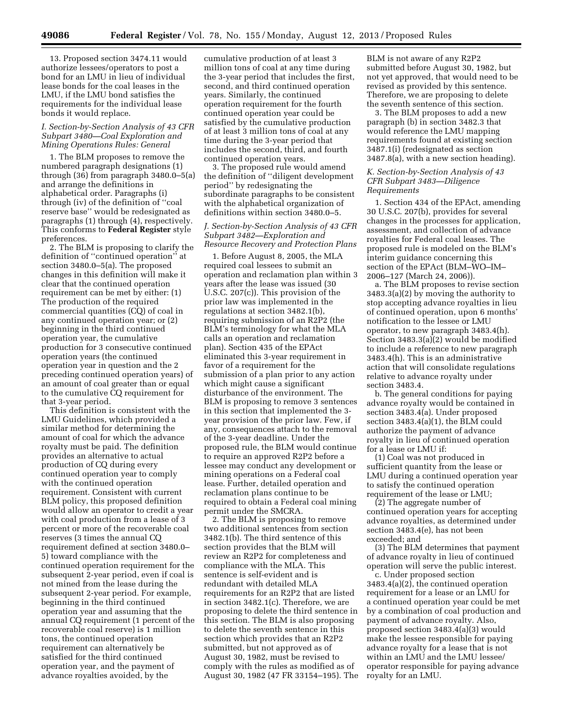13. Proposed section 3474.11 would authorize lessees/operators to post a bond for an LMU in lieu of individual lease bonds for the coal leases in the LMU, if the LMU bond satisfies the requirements for the individual lease bonds it would replace.

# *I. Section-by-Section Analysis of 43 CFR Subpart 3480—Coal Exploration and Mining Operations Rules: General*

1. The BLM proposes to remove the numbered paragraph designations (1) through (36) from paragraph 3480.0–5(a) and arrange the definitions in alphabetical order. Paragraphs (i) through (iv) of the definition of ''coal reserve base'' would be redesignated as paragraphs (1) through (4), respectively. This conforms to **Federal Register** style preferences.

2. The BLM is proposing to clarify the definition of ''continued operation'' at section 3480.0–5(a). The proposed changes in this definition will make it clear that the continued operation requirement can be met by either: (1) The production of the required commercial quantities (CQ) of coal in any continued operation year; or (2) beginning in the third continued operation year, the cumulative production for 3 consecutive continued operation years (the continued operation year in question and the 2 preceding continued operation years) of an amount of coal greater than or equal to the cumulative CQ requirement for that 3-year period.

This definition is consistent with the LMU Guidelines, which provided a similar method for determining the amount of coal for which the advance royalty must be paid. The definition provides an alternative to actual production of CQ during every continued operation year to comply with the continued operation requirement. Consistent with current BLM policy, this proposed definition would allow an operator to credit a year with coal production from a lease of 3 percent or more of the recoverable coal reserves (3 times the annual CQ requirement defined at section 3480.0– 5) toward compliance with the continued operation requirement for the subsequent 2-year period, even if coal is not mined from the lease during the subsequent 2-year period. For example, beginning in the third continued operation year and assuming that the annual CQ requirement (1 percent of the recoverable coal reserve) is 1 million tons, the continued operation requirement can alternatively be satisfied for the third continued operation year, and the payment of advance royalties avoided, by the

cumulative production of at least 3 million tons of coal at any time during the 3-year period that includes the first, second, and third continued operation years. Similarly, the continued operation requirement for the fourth continued operation year could be satisfied by the cumulative production of at least 3 million tons of coal at any time during the 3-year period that includes the second, third, and fourth continued operation years.

3. The proposed rule would amend the definition of ''diligent development period'' by redesignating the subordinate paragraphs to be consistent with the alphabetical organization of definitions within section 3480.0–5.

# *J. Section-by-Section Analysis of 43 CFR Subpart 3482—Exploration and Resource Recovery and Protection Plans*

1. Before August 8, 2005, the MLA required coal lessees to submit an operation and reclamation plan within 3 years after the lease was issued (30 U.S.C. 207(c)). This provision of the prior law was implemented in the regulations at section 3482.1(b), requiring submission of an R2P2 (the BLM's terminology for what the MLA calls an operation and reclamation plan). Section 435 of the EPAct eliminated this 3-year requirement in favor of a requirement for the submission of a plan prior to any action which might cause a significant disturbance of the environment. The BLM is proposing to remove 3 sentences in this section that implemented the 3 year provision of the prior law. Few, if any, consequences attach to the removal of the 3-year deadline. Under the proposed rule, the BLM would continue to require an approved R2P2 before a lessee may conduct any development or mining operations on a Federal coal lease. Further, detailed operation and reclamation plans continue to be required to obtain a Federal coal mining permit under the SMCRA.

2. The BLM is proposing to remove two additional sentences from section 3482.1(b). The third sentence of this section provides that the BLM will review an R2P2 for completeness and compliance with the MLA. This sentence is self-evident and is redundant with detailed MLA requirements for an R2P2 that are listed in section 3482.1(c). Therefore, we are proposing to delete the third sentence in this section. The BLM is also proposing to delete the seventh sentence in this section which provides that an R2P2 submitted, but not approved as of August 30, 1982, must be revised to comply with the rules as modified as of August 30, 1982 (47 FR 33154–195). The

BLM is not aware of any R2P2 submitted before August 30, 1982, but not yet approved, that would need to be revised as provided by this sentence. Therefore, we are proposing to delete the seventh sentence of this section.

3. The BLM proposes to add a new paragraph (b) in section 3482.3 that would reference the LMU mapping requirements found at existing section 3487.1(i) (redesignated as section 3487.8(a), with a new section heading).

# *K. Section-by-Section Analysis of 43 CFR Subpart 3483—Diligence Requirements*

1. Section 434 of the EPAct, amending 30 U.S.C. 207(b), provides for several changes in the processes for application, assessment, and collection of advance royalties for Federal coal leases. The proposed rule is modeled on the BLM's interim guidance concerning this section of the EPAct (BLM–WO–IM– 2006–127 (March 24, 2006)).

a. The BLM proposes to revise section 3483.3(a)(2) by moving the authority to stop accepting advance royalties in lieu of continued operation, upon 6 months' notification to the lessee or LMU operator, to new paragraph 3483.4(h). Section 3483.3(a)(2) would be modified to include a reference to new paragraph 3483.4(h). This is an administrative action that will consolidate regulations relative to advance royalty under section 3483.4.

b. The general conditions for paying advance royalty would be contained in section 3483.4(a). Under proposed section 3483.4(a)(1), the BLM could authorize the payment of advance royalty in lieu of continued operation for a lease or LMU if:

(1) Coal was not produced in sufficient quantity from the lease or LMU during a continued operation year to satisfy the continued operation requirement of the lease or LMU;

(2) The aggregate number of continued operation years for accepting advance royalties, as determined under section 3483.4(e), has not been exceeded; and

(3) The BLM determines that payment of advance royalty in lieu of continued operation will serve the public interest.

c. Under proposed section 3483.4(a)(2), the continued operation requirement for a lease or an LMU for a continued operation year could be met by a combination of coal production and payment of advance royalty. Also, proposed section 3483.4(a)(3) would make the lessee responsible for paying advance royalty for a lease that is not within an LMU and the LMU lessee/ operator responsible for paying advance royalty for an LMU.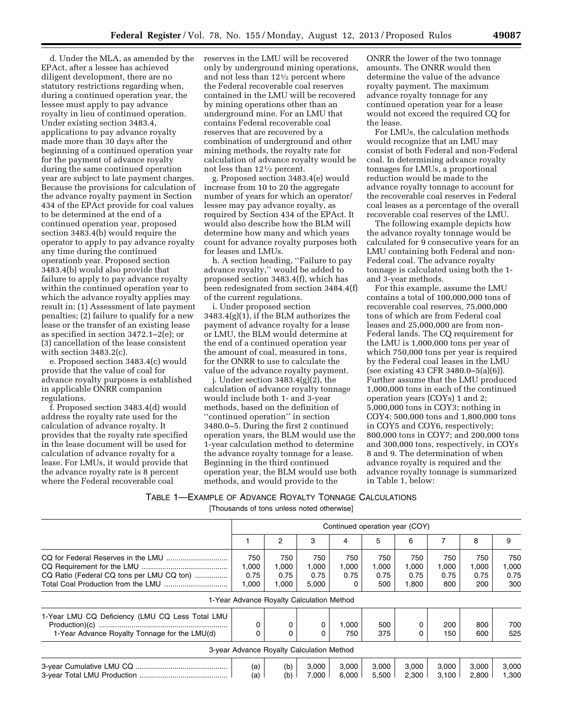d. Under the MLA, as amended by the EPAct, after a lessee has achieved diligent development, there are no statutory restrictions regarding when, during a continued operation year, the lessee must apply to pay advance royalty in lieu of continued operation. Under existing section 3483.4, applications to pay advance royalty made more than 30 days after the beginning of a continued operation year for the payment of advance royalty during the same continued operation year are subject to late payment charges. Because the provisions for calculation of the advance royalty payment in Section 434 of the EPAct provide for coal values to be determined at the end of a continued operation year, proposed section 3483.4(b) would require the operator to apply to pay advance royalty any time during the continued operationb year. Proposed section 3483.4(b) would also provide that failure to apply to pay advance royalty within the continued operation year to which the advance royalty applies may result in: (1) Assessment of late payment penalties; (2) failure to qualify for a new lease or the transfer of an existing lease as specified in section 3472.1–2(e); or (3) cancellation of the lease consistent with section 3483.2(c).

e. Proposed section 3483.4(c) would provide that the value of coal for advance royalty purposes is established in applicable ONRR companion regulations.

f. Proposed section 3483.4(d) would address the royalty rate used for the calculation of advance royalty. It provides that the royalty rate specified in the lease document will be used for calculation of advance royalty for a lease. For LMUs, it would provide that the advance royalty rate is 8 percent where the Federal recoverable coal

reserves in the LMU will be recovered only by underground mining operations, and not less than 121⁄2 percent where the Federal recoverable coal reserves contained in the LMU will be recovered by mining operations other than an underground mine. For an LMU that contains Federal recoverable coal reserves that are recovered by a combination of underground and other mining methods, the royalty rate for calculation of advance royalty would be not less than 121⁄2 percent.

g. Proposed section 3483.4(e) would increase from 10 to 20 the aggregate number of years for which an operator/ lessee may pay advance royalty, as required by Section 434 of the EPAct. It would also describe how the BLM will determine how many and which years count for advance royalty purposes both for leases and LMUs.

h. A section heading, ''Failure to pay advance royalty,'' would be added to proposed section 3483.4(f), which has been redesignated from section 3484.4(f) of the current regulations.

i. Under proposed section  $3483.4(g)(1)$ , if the BLM authorizes the payment of advance royalty for a lease or LMU, the BLM would determine at the end of a continued operation year the amount of coal, measured in tons, for the ONRR to use to calculate the value of the advance royalty payment.

j. Under section 3483.4(g)(2), the calculation of advance royalty tonnage would include both 1- and 3-year methods, based on the definition of ''continued operation'' in section 3480.0–5. During the first 2 continued operation years, the BLM would use the 1-year calculation method to determine the advance royalty tonnage for a lease. Beginning in the third continued operation year, the BLM would use both methods, and would provide to the

ONRR the lower of the two tonnage amounts. The ONRR would then determine the value of the advance royalty payment. The maximum advance royalty tonnage for any continued operation year for a lease would not exceed the required CQ for the lease.

For LMUs, the calculation methods would recognize that an LMU may consist of both Federal and non-Federal coal. In determining advance royalty tonnages for LMUs, a proportional reduction would be made to the advance royalty tonnage to account for the recoverable coal reserves in Federal coal leases as a percentage of the overall recoverable coal reserves of the LMU.

The following example depicts how the advance royalty tonnage would be calculated for 9 consecutive years for an LMU containing both Federal and non-Federal coal. The advance royalty tonnage is calculated using both the 1 and 3-year methods.

For this example, assume the LMU contains a total of 100,000,000 tons of recoverable coal reserves, 75,000,000 tons of which are from Federal coal leases and 25,000,000 are from non-Federal lands. The CQ requirement for the LMU is 1,000,000 tons per year of which 750,000 tons per year is required by the Federal coal leases in the LMU (see existing 43 CFR 3480.0–5(a)(6)). Further assume that the LMU produced 1,000,000 tons in each of the continued operation years (COYs) 1 and 2; 5,000,000 tons in COY3; nothing in COY4; 500,000 tons and 1,800,000 tons in COY5 and COY6, respectively; 800,000 tons in COY7; and 200,000 tons and 300,000 tons, respectively, in COYs 8 and 9. The determination of when advance royalty is required and the advance royalty tonnage is summarized in Table 1, below:

TABLE 1—EXAMPLE OF ADVANCE ROYALTY TONNAGE CALCULATIONS

[Thousands of tons unless noted otherwise]

|                                                                                                  | Continued operation year (COY)            |                               |                               |                      |                             |                               |                             |                             |                             |
|--------------------------------------------------------------------------------------------------|-------------------------------------------|-------------------------------|-------------------------------|----------------------|-----------------------------|-------------------------------|-----------------------------|-----------------------------|-----------------------------|
|                                                                                                  |                                           | 2                             | 3                             | 4                    | 5                           | 6                             |                             | 8                           | 9                           |
| CQ Ratio (Federal CQ tons per LMU CQ ton)                                                        | 750<br>1,000<br>0.75<br>1,000             | 750<br>1,000<br>0.75<br>1,000 | 750<br>1,000<br>0.75<br>5,000 | 750<br>1,000<br>0.75 | 750<br>1,000<br>0.75<br>500 | 750<br>1,000<br>0.75<br>1,800 | 750<br>1,000<br>0.75<br>800 | 750<br>1,000<br>0.75<br>200 | 750<br>1.000<br>0.75<br>300 |
|                                                                                                  | 1-Year Advance Royalty Calculation Method |                               |                               |                      |                             |                               |                             |                             |                             |
| 1-Year LMU CQ Deficiency (LMU CQ Less Total LMU<br>1-Year Advance Royalty Tonnage for the LMU(d) |                                           | 0                             |                               | 1,000<br>750         | 500<br>375                  |                               | 200<br>150                  | 800<br>600                  | 700<br>525                  |
|                                                                                                  | 3-year Advance Royalty Calculation Method |                               |                               |                      |                             |                               |                             |                             |                             |
|                                                                                                  | (a)<br>(a)                                | (b)<br>(b)                    | 3,000<br>7.000                | 3,000<br>6.000       | 3,000<br>5.500              | 3,000<br>2.300                | 3.000<br>3,100              | 3,000<br>2.800              | 3,000<br>1.300              |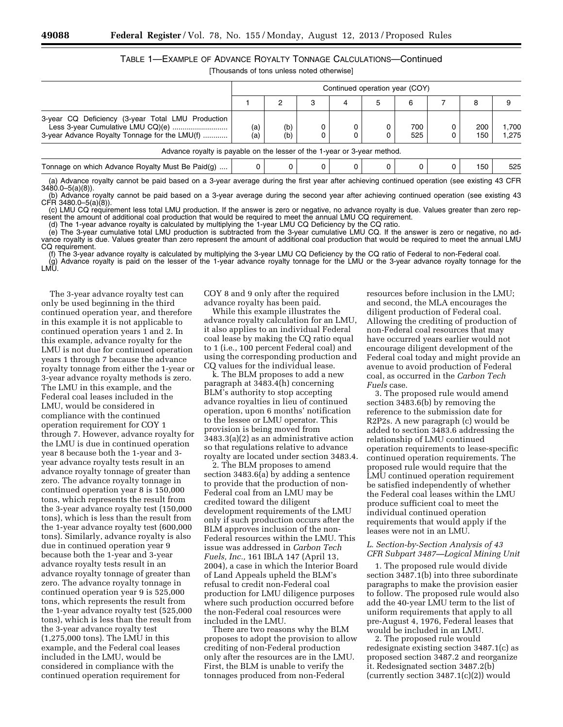# TABLE 1—EXAMPLE OF ADVANCE ROYALTY TONNAGE CALCULATIONS—Continued

[Thousands of tons unless noted otherwise]

|                                                                                                                                         | Continued operation year (COY) |            |   |   |   |            |            |                |
|-----------------------------------------------------------------------------------------------------------------------------------------|--------------------------------|------------|---|---|---|------------|------------|----------------|
|                                                                                                                                         |                                |            | 3 | 4 | 5 | 6          | 8          |                |
| 3-year CQ Deficiency (3-year Total LMU Production<br>Less 3-year Cumulative LMU CQ)(e)<br>3-year Advance Royalty Tonnage for the LMU(f) | (a)<br>(a)                     | (b)<br>(b) |   |   |   | 700<br>525 | 200<br>150 | 1.700<br>1.275 |
| Advance royalty is payable on the lesser of the 1-year or 3-year method.                                                                |                                |            |   |   |   |            |            |                |
| Tonnage on which Advance Royalty Must Be Paid(g)                                                                                        |                                | 0          |   |   |   |            | 150        | 525            |

(a) Advance royalty cannot be paid based on a 3-year average during the first year after achieving continued operation (see existing 43 CFR 3480.0–5(a)(8)).

(b) Advance royalty cannot be paid based on a 3-year average during the second year after achieving continued operation (see existing 43  $CFR$  3480.0–5(a)(8)).

(c) LMU CQ requirement less total LMU production. If the answer is zero or negative, no advance royalty is due. Values greater than zero represent the amount of additional coal production that would be required to meet the annual LMU CQ requirement.

(d) The 1-year advance royalty is calculated by multiplying the 1-year LMU CQ Deficiency by the CQ ratio.

(e) The 3-year cumulative total LMU production is subtracted from the 3-year cumulative LMU CQ. If the answer is zero or negative, no advance royalty is due. Values greater than zero represent the amount of additional coal production that would be required to meet the annual LMU CQ requirement.

(f) The 3-year advance royalty is calculated by multiplying the 3-year LMU CQ Deficiency by the CQ ratio of Federal to non-Federal coal. (g) Advance royalty is paid on the lesser of the 1-year advance royalty tonnage for the LMU or the 3-year advance royalty tonnage for the I MŪ

The 3-year advance royalty test can only be used beginning in the third continued operation year, and therefore in this example it is not applicable to continued operation years 1 and 2. In this example, advance royalty for the LMU is not due for continued operation years 1 through 7 because the advance royalty tonnage from either the 1-year or 3-year advance royalty methods is zero. The LMU in this example, and the Federal coal leases included in the LMU, would be considered in compliance with the continued operation requirement for COY 1 through 7. However, advance royalty for the LMU is due in continued operation year 8 because both the 1-year and 3 year advance royalty tests result in an advance royalty tonnage of greater than zero. The advance royalty tonnage in continued operation year 8 is 150,000 tons, which represents the result from the 3-year advance royalty test (150,000 tons), which is less than the result from the 1-year advance royalty test (600,000 tons). Similarly, advance royalty is also due in continued operation year 9 because both the 1-year and 3-year advance royalty tests result in an advance royalty tonnage of greater than zero. The advance royalty tonnage in continued operation year 9 is 525,000 tons, which represents the result from the 1-year advance royalty test (525,000 tons), which is less than the result from the 3-year advance royalty test (1,275,000 tons). The LMU in this example, and the Federal coal leases included in the LMU, would be considered in compliance with the continued operation requirement for

COY 8 and 9 only after the required advance royalty has been paid.

While this example illustrates the advance royalty calculation for an LMU, it also applies to an individual Federal coal lease by making the CQ ratio equal to 1 (i.e., 100 percent Federal coal) and using the corresponding production and CQ values for the individual lease.

k. The BLM proposes to add a new paragraph at 3483.4(h) concerning BLM's authority to stop accepting advance royalties in lieu of continued operation, upon 6 months' notification to the lessee or LMU operator. This provision is being moved from 3483.3(a)(2) as an administrative action so that regulations relative to advance royalty are located under section 3483.4.

2. The BLM proposes to amend section 3483.6(a) by adding a sentence to provide that the production of non-Federal coal from an LMU may be credited toward the diligent development requirements of the LMU only if such production occurs after the BLM approves inclusion of the non-Federal resources within the LMU. This issue was addressed in *Carbon Tech Fuels, Inc.,* 161 IBLA 147 (April 13, 2004), a case in which the Interior Board of Land Appeals upheld the BLM's refusal to credit non-Federal coal production for LMU diligence purposes where such production occurred before the non-Federal coal resources were included in the LMU.

There are two reasons why the BLM proposes to adopt the provision to allow crediting of non-Federal production only after the resources are in the LMU. First, the BLM is unable to verify the tonnages produced from non-Federal

resources before inclusion in the LMU; and second, the MLA encourages the diligent production of Federal coal. Allowing the crediting of production of non-Federal coal resources that may have occurred years earlier would not encourage diligent development of the Federal coal today and might provide an avenue to avoid production of Federal coal, as occurred in the *Carbon Tech Fuels* case.

3. The proposed rule would amend section 3483.6(b) by removing the reference to the submission date for R2P2s. A new paragraph (c) would be added to section 3483.6 addressing the relationship of LMU continued operation requirements to lease-specific continued operation requirements. The proposed rule would require that the LMU continued operation requirement be satisfied independently of whether the Federal coal leases within the LMU produce sufficient coal to meet the individual continued operation requirements that would apply if the leases were not in an LMU.

# *L. Section-by-Section Analysis of 43 CFR Subpart 3487—Logical Mining Unit*

1. The proposed rule would divide section 3487.1(b) into three subordinate paragraphs to make the provision easier to follow. The proposed rule would also add the 40-year LMU term to the list of uniform requirements that apply to all pre-August 4, 1976, Federal leases that would be included in an LMU.

2. The proposed rule would redesignate existing section 3487.1(c) as proposed section 3487.2 and reorganize it. Redesignated section 3487.2(b) (currently section 3487.1(c)(2)) would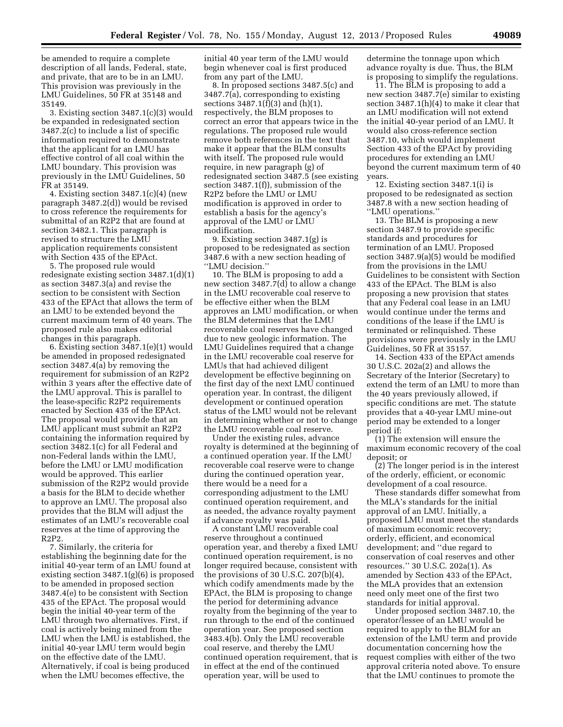be amended to require a complete description of all lands, Federal, state, and private, that are to be in an LMU. This provision was previously in the LMU Guidelines, 50 FR at 35148 and 35149.

3. Existing section 3487.1(c)(3) would be expanded in redesignated section 3487.2(c) to include a list of specific information required to demonstrate that the applicant for an LMU has effective control of all coal within the LMU boundary. This provision was previously in the LMU Guidelines, 50 FR at 35149.

4. Existing section 3487.1(c)(4) (new paragraph 3487.2(d)) would be revised to cross reference the requirements for submittal of an R2P2 that are found at section 3482.1. This paragraph is revised to structure the LMU application requirements consistent with Section 435 of the EPAct.

5. The proposed rule would redesignate existing section 3487.1(d)(1) as section 3487.3(a) and revise the section to be consistent with Section 433 of the EPAct that allows the term of an LMU to be extended beyond the current maximum term of 40 years. The proposed rule also makes editorial changes in this paragraph.

6. Existing section 3487.1(e)(1) would be amended in proposed redesignated section 3487.4(a) by removing the requirement for submission of an R2P2 within 3 years after the effective date of the LMU approval. This is parallel to the lease-specific R2P2 requirements enacted by Section 435 of the EPAct. The proposal would provide that an LMU applicant must submit an R2P2 containing the information required by section 3482.1(c) for all Federal and non-Federal lands within the LMU, before the LMU or LMU modification would be approved. This earlier submission of the R2P2 would provide a basis for the BLM to decide whether to approve an LMU. The proposal also provides that the BLM will adjust the estimates of an LMU's recoverable coal reserves at the time of approving the R2P2.

7. Similarly, the criteria for establishing the beginning date for the initial 40-year term of an LMU found at existing section 3487.1(g)(6) is proposed to be amended in proposed section 3487.4(e) to be consistent with Section 435 of the EPAct. The proposal would begin the initial 40-year term of the LMU through two alternatives. First, if coal is actively being mined from the LMU when the LMU is established, the initial 40-year LMU term would begin on the effective date of the LMU. Alternatively, if coal is being produced when the LMU becomes effective, the

initial 40 year term of the LMU would begin whenever coal is first produced from any part of the LMU.

8. In proposed sections 3487.5(c) and 3487.7(a), corresponding to existing sections 3487.1(f)(3) and (h)(1), respectively, the BLM proposes to correct an error that appears twice in the regulations. The proposed rule would remove both references in the text that make it appear that the BLM consults with itself. The proposed rule would require, in new paragraph (g) of redesignated section 3487.5 (see existing section 3487.1(f)), submission of the R2P2 before the LMU or LMU modification is approved in order to establish a basis for the agency's approval of the LMU or LMU modification.

9. Existing section 3487.1(g) is proposed to be redesignated as section 3487.6 with a new section heading of ''LMU decision.''

10. The BLM is proposing to add a new section  $3487.7(d)$  to allow a change in the LMU recoverable coal reserve to be effective either when the BLM approves an LMU modification, or when the BLM determines that the LMU recoverable coal reserves have changed due to new geologic information. The LMU Guidelines required that a change in the LMU recoverable coal reserve for LMUs that had achieved diligent development be effective beginning on the first day of the next LMU continued operation year. In contrast, the diligent development or continued operation status of the LMU would not be relevant in determining whether or not to change the LMU recoverable coal reserve.

Under the existing rules, advance royalty is determined at the beginning of a continued operation year. If the LMU recoverable coal reserve were to change during the continued operation year, there would be a need for a corresponding adjustment to the LMU continued operation requirement, and as needed, the advance royalty payment if advance royalty was paid.

A constant LMU recoverable coal reserve throughout a continued operation year, and thereby a fixed LMU continued operation requirement, is no longer required because, consistent with the provisions of 30 U.S.C. 207(b)(4), which codify amendments made by the EPAct, the BLM is proposing to change the period for determining advance royalty from the beginning of the year to run through to the end of the continued operation year. See proposed section 3483.4(b). Only the LMU recoverable coal reserve, and thereby the LMU continued operation requirement, that is in effect at the end of the continued operation year, will be used to

determine the tonnage upon which advance royalty is due. Thus, the BLM is proposing to simplify the regulations.

11. The BLM is proposing to add a new section 3487.7(e) similar to existing section 3487.1(h)(4) to make it clear that an LMU modification will not extend the initial 40-year period of an LMU. It would also cross-reference section 3487.10, which would implement Section 433 of the EPAct by providing procedures for extending an LMU beyond the current maximum term of 40 years.

12. Existing section 3487.1(i) is proposed to be redesignated as section 3487.8 with a new section heading of ''LMU operations.''

13. The BLM is proposing a new section 3487.9 to provide specific standards and procedures for termination of an LMU. Proposed section 3487.9(a)(5) would be modified from the provisions in the LMU Guidelines to be consistent with Section 433 of the EPAct. The BLM is also proposing a new provision that states that any Federal coal lease in an LMU would continue under the terms and conditions of the lease if the LMU is terminated or relinquished. These provisions were previously in the LMU Guidelines, 50 FR at 35157.

14. Section 433 of the EPAct amends 30 U.S.C. 202a(2) and allows the Secretary of the Interior (Secretary) to extend the term of an LMU to more than the 40 years previously allowed, if specific conditions are met. The statute provides that a 40-year LMU mine-out period may be extended to a longer period if:

(1) The extension will ensure the maximum economic recovery of the coal deposit; or

(2) The longer period is in the interest of the orderly, efficient, or economic development of a coal resource.

These standards differ somewhat from the MLA's standards for the initial approval of an LMU. Initially, a proposed LMU must meet the standards of maximum economic recovery; orderly, efficient, and economical development; and ''due regard to conservation of coal reserves and other resources.'' 30 U.S.C. 202a(1). As amended by Section 433 of the EPAct, the MLA provides that an extension need only meet one of the first two standards for initial approval.

Under proposed section 3487.10, the operator/lessee of an LMU would be required to apply to the BLM for an extension of the LMU term and provide documentation concerning how the request complies with either of the two approval criteria noted above. To ensure that the LMU continues to promote the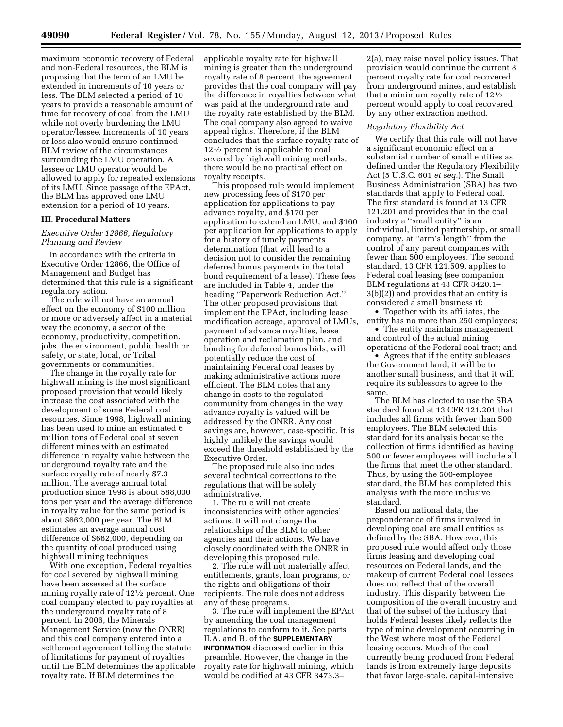maximum economic recovery of Federal and non-Federal resources, the BLM is proposing that the term of an LMU be extended in increments of 10 years or less. The BLM selected a period of 10 years to provide a reasonable amount of time for recovery of coal from the LMU while not overly burdening the LMU operator/lessee. Increments of 10 years or less also would ensure continued BLM review of the circumstances surrounding the LMU operation. A lessee or LMU operator would be allowed to apply for repeated extensions of its LMU. Since passage of the EPAct, the BLM has approved one LMU extension for a period of 10 years.

#### **III. Procedural Matters**

# *Executive Order 12866, Regulatory Planning and Review*

In accordance with the criteria in Executive Order 12866, the Office of Management and Budget has determined that this rule is a significant regulatory action.

The rule will not have an annual effect on the economy of \$100 million or more or adversely affect in a material way the economy, a sector of the economy, productivity, competition, jobs, the environment, public health or safety, or state, local, or Tribal governments or communities.

The change in the royalty rate for highwall mining is the most significant proposed provision that would likely increase the cost associated with the development of some Federal coal resources. Since 1998, highwall mining has been used to mine an estimated 6 million tons of Federal coal at seven different mines with an estimated difference in royalty value between the underground royalty rate and the surface royalty rate of nearly \$7.3 million. The average annual total production since 1998 is about 588,000 tons per year and the average difference in royalty value for the same period is about \$662,000 per year. The BLM estimates an average annual cost difference of \$662,000, depending on the quantity of coal produced using highwall mining techniques.

With one exception, Federal royalties for coal severed by highwall mining have been assessed at the surface mining royalty rate of 121⁄2 percent. One coal company elected to pay royalties at the underground royalty rate of 8 percent. In 2006, the Minerals Management Service (now the ONRR) and this coal company entered into a settlement agreement tolling the statute of limitations for payment of royalties until the BLM determines the applicable royalty rate. If BLM determines the

applicable royalty rate for highwall mining is greater than the underground royalty rate of 8 percent, the agreement provides that the coal company will pay the difference in royalties between what was paid at the underground rate, and the royalty rate established by the BLM. The coal company also agreed to waive appeal rights. Therefore, if the BLM concludes that the surface royalty rate of 121⁄2 percent is applicable to coal severed by highwall mining methods, there would be no practical effect on royalty receipts.

This proposed rule would implement new processing fees of \$170 per application for applications to pay advance royalty, and \$170 per application to extend an LMU, and \$160 per application for applications to apply for a history of timely payments determination (that will lead to a decision not to consider the remaining deferred bonus payments in the total bond requirement of a lease). These fees are included in Table 4, under the heading ''Paperwork Reduction Act.'' The other proposed provisions that implement the EPAct, including lease modification acreage, approval of LMUs, payment of advance royalties, lease operation and reclamation plan, and bonding for deferred bonus bids, will potentially reduce the cost of maintaining Federal coal leases by making administrative actions more efficient. The BLM notes that any change in costs to the regulated community from changes in the way advance royalty is valued will be addressed by the ONRR. Any cost savings are, however, case-specific. It is highly unlikely the savings would exceed the threshold established by the Executive Order.

The proposed rule also includes several technical corrections to the regulations that will be solely administrative.

1. The rule will not create inconsistencies with other agencies' actions. It will not change the relationships of the BLM to other agencies and their actions. We have closely coordinated with the ONRR in developing this proposed rule.

2. The rule will not materially affect entitlements, grants, loan programs, or the rights and obligations of their recipients. The rule does not address any of these programs.

3. The rule will implement the EPAct by amending the coal management regulations to conform to it. See parts II.A. and B. of the **SUPPLEMENTARY INFORMATION** discussed earlier in this preamble. However, the change in the royalty rate for highwall mining, which would be codified at 43 CFR 3473.3–

2(a), may raise novel policy issues. That provision would continue the current 8 percent royalty rate for coal recovered from underground mines, and establish that a minimum royalty rate of 121⁄2 percent would apply to coal recovered by any other extraction method.

#### *Regulatory Flexibility Act*

We certify that this rule will not have a significant economic effect on a substantial number of small entities as defined under the Regulatory Flexibility Act (5 U.S.C. 601 *et seq.*). The Small Business Administration (SBA) has two standards that apply to Federal coal. The first standard is found at 13 CFR 121.201 and provides that in the coal industry a ''small entity'' is an individual, limited partnership, or small company, at ''arm's length'' from the control of any parent companies with fewer than 500 employees. The second standard, 13 CFR 121.509, applies to Federal coal leasing (see companion BLM regulations at 43 CFR 3420.1– 3(b)(2)) and provides that an entity is considered a small business if:

• Together with its affiliates, the entity has no more than 250 employees; • The entity maintains management

and control of the actual mining operations of the Federal coal tract; and

• Agrees that if the entity subleases the Government land, it will be to another small business, and that it will require its sublessors to agree to the same.

The BLM has elected to use the SBA standard found at 13 CFR 121.201 that includes all firms with fewer than 500 employees. The BLM selected this standard for its analysis because the collection of firms identified as having 500 or fewer employees will include all the firms that meet the other standard. Thus, by using the 500-employee standard, the BLM has completed this analysis with the more inclusive standard.

Based on national data, the preponderance of firms involved in developing coal are small entities as defined by the SBA. However, this proposed rule would affect only those firms leasing and developing coal resources on Federal lands, and the makeup of current Federal coal lessees does not reflect that of the overall industry. This disparity between the composition of the overall industry and that of the subset of the industry that holds Federal leases likely reflects the type of mine development occurring in the West where most of the Federal leasing occurs. Much of the coal currently being produced from Federal lands is from extremely large deposits that favor large-scale, capital-intensive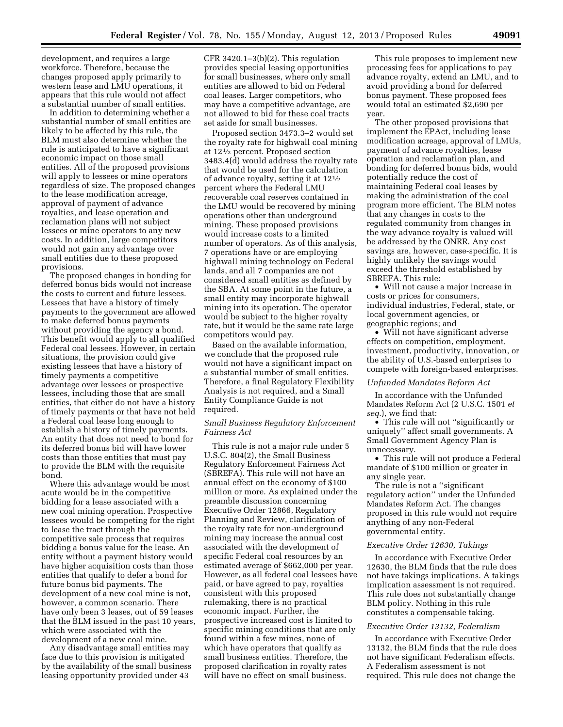development, and requires a large workforce. Therefore, because the changes proposed apply primarily to western lease and LMU operations, it appears that this rule would not affect a substantial number of small entities.

In addition to determining whether a substantial number of small entities are likely to be affected by this rule, the BLM must also determine whether the rule is anticipated to have a significant economic impact on those small entities. All of the proposed provisions will apply to lessees or mine operators regardless of size. The proposed changes to the lease modification acreage, approval of payment of advance royalties, and lease operation and reclamation plans will not subject lessees or mine operators to any new costs. In addition, large competitors would not gain any advantage over small entities due to these proposed provisions.

The proposed changes in bonding for deferred bonus bids would not increase the costs to current and future lessees. Lessees that have a history of timely payments to the government are allowed to make deferred bonus payments without providing the agency a bond. This benefit would apply to all qualified Federal coal lessees. However, in certain situations, the provision could give existing lessees that have a history of timely payments a competitive advantage over lessees or prospective lessees, including those that are small entities, that either do not have a history of timely payments or that have not held a Federal coal lease long enough to establish a history of timely payments. An entity that does not need to bond for its deferred bonus bid will have lower costs than those entities that must pay to provide the BLM with the requisite bond.

Where this advantage would be most acute would be in the competitive bidding for a lease associated with a new coal mining operation. Prospective lessees would be competing for the right to lease the tract through the competitive sale process that requires bidding a bonus value for the lease. An entity without a payment history would have higher acquisition costs than those entities that qualify to defer a bond for future bonus bid payments. The development of a new coal mine is not, however, a common scenario. There have only been 3 leases, out of 59 leases that the BLM issued in the past 10 years, which were associated with the development of a new coal mine.

Any disadvantage small entities may face due to this provision is mitigated by the availability of the small business leasing opportunity provided under 43

CFR  $3420.1-3(b)(2)$ . This regulation provides special leasing opportunities for small businesses, where only small entities are allowed to bid on Federal coal leases. Larger competitors, who may have a competitive advantage, are not allowed to bid for these coal tracts set aside for small businesses.

Proposed section 3473.3–2 would set the royalty rate for highwall coal mining at 121⁄2 percent. Proposed section 3483.4(d) would address the royalty rate that would be used for the calculation of advance royalty, setting it at 121⁄2 percent where the Federal LMU recoverable coal reserves contained in the LMU would be recovered by mining operations other than underground mining. These proposed provisions would increase costs to a limited number of operators. As of this analysis, 7 operations have or are employing highwall mining technology on Federal lands, and all 7 companies are not considered small entities as defined by the SBA. At some point in the future, a small entity may incorporate highwall mining into its operation. The operator would be subject to the higher royalty rate, but it would be the same rate large competitors would pay.

Based on the available information, we conclude that the proposed rule would not have a significant impact on a substantial number of small entities. Therefore, a final Regulatory Flexibility Analysis is not required, and a Small Entity Compliance Guide is not required.

# *Small Business Regulatory Enforcement Fairness Act*

This rule is not a major rule under 5 U.S.C. 804(2), the Small Business Regulatory Enforcement Fairness Act (SBREFA). This rule will not have an annual effect on the economy of \$100 million or more. As explained under the preamble discussion concerning Executive Order 12866, Regulatory Planning and Review, clarification of the royalty rate for non-underground mining may increase the annual cost associated with the development of specific Federal coal resources by an estimated average of \$662,000 per year. However, as all federal coal lessees have paid, or have agreed to pay, royalties consistent with this proposed rulemaking, there is no practical economic impact. Further, the prospective increased cost is limited to specific mining conditions that are only found within a few mines, none of which have operators that qualify as small business entities. Therefore, the proposed clarification in royalty rates will have no effect on small business.

This rule proposes to implement new processing fees for applications to pay advance royalty, extend an LMU, and to avoid providing a bond for deferred bonus payment. These proposed fees would total an estimated \$2,690 per year.

The other proposed provisions that implement the EPAct, including lease modification acreage, approval of LMUs, payment of advance royalties, lease operation and reclamation plan, and bonding for deferred bonus bids, would potentially reduce the cost of maintaining Federal coal leases by making the administration of the coal program more efficient. The BLM notes that any changes in costs to the regulated community from changes in the way advance royalty is valued will be addressed by the ONRR. Any cost savings are, however, case-specific. It is highly unlikely the savings would exceed the threshold established by SBREFA. This rule:

• Will not cause a major increase in costs or prices for consumers, individual industries, Federal, state, or local government agencies, or geographic regions; and

• Will not have significant adverse effects on competition, employment, investment, productivity, innovation, or the ability of U.S.-based enterprises to compete with foreign-based enterprises.

#### *Unfunded Mandates Reform Act*

In accordance with the Unfunded Mandates Reform Act (2 U.S.C. 1501 *et seq.*), we find that:

• This rule will not ''significantly or uniquely'' affect small governments. A Small Government Agency Plan is unnecessary.

• This rule will not produce a Federal mandate of \$100 million or greater in any single year.

The rule is not a ''significant regulatory action'' under the Unfunded Mandates Reform Act. The changes proposed in this rule would not require anything of any non-Federal governmental entity.

## *Executive Order 12630, Takings*

In accordance with Executive Order 12630, the BLM finds that the rule does not have takings implications. A takings implication assessment is not required. This rule does not substantially change BLM policy. Nothing in this rule constitutes a compensable taking.

#### *Executive Order 13132, Federalism*

In accordance with Executive Order 13132, the BLM finds that the rule does not have significant Federalism effects. A Federalism assessment is not required. This rule does not change the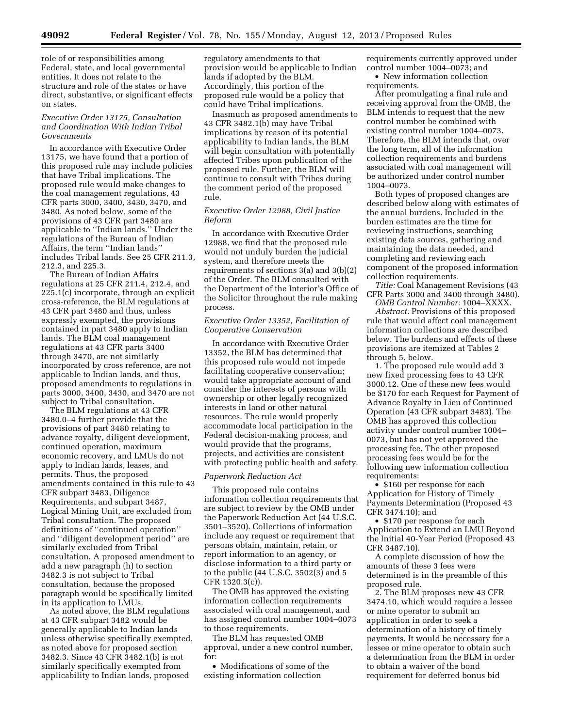role of or responsibilities among Federal, state, and local governmental entities. It does not relate to the structure and role of the states or have direct, substantive, or significant effects on states.

# *Executive Order 13175, Consultation and Coordination With Indian Tribal Governments*

In accordance with Executive Order 13175, we have found that a portion of this proposed rule may include policies that have Tribal implications. The proposed rule would make changes to the coal management regulations, 43 CFR parts 3000, 3400, 3430, 3470, and 3480. As noted below, some of the provisions of 43 CFR part 3480 are applicable to ''Indian lands.'' Under the regulations of the Bureau of Indian Affairs, the term ''Indian lands'' includes Tribal lands. See 25 CFR 211.3, 212.3, and 225.3.

The Bureau of Indian Affairs regulations at 25 CFR 211.4, 212.4, and 225.1(c) incorporate, through an explicit cross-reference, the BLM regulations at 43 CFR part 3480 and thus, unless expressly exempted, the provisions contained in part 3480 apply to Indian lands. The BLM coal management regulations at 43 CFR parts 3400 through 3470, are not similarly incorporated by cross reference, are not applicable to Indian lands, and thus, proposed amendments to regulations in parts 3000, 3400, 3430, and 3470 are not subject to Tribal consultation.

The BLM regulations at 43 CFR 3480.0–4 further provide that the provisions of part 3480 relating to advance royalty, diligent development, continued operation, maximum economic recovery, and LMUs do not apply to Indian lands, leases, and permits. Thus, the proposed amendments contained in this rule to 43 CFR subpart 3483, Diligence Requirements, and subpart 3487, Logical Mining Unit, are excluded from Tribal consultation. The proposed definitions of ''continued operation'' and ''diligent development period'' are similarly excluded from Tribal consultation. A proposed amendment to add a new paragraph (h) to section 3482.3 is not subject to Tribal consultation, because the proposed paragraph would be specifically limited in its application to LMUs.

As noted above, the BLM regulations at 43 CFR subpart 3482 would be generally applicable to Indian lands unless otherwise specifically exempted, as noted above for proposed section 3482.3. Since 43 CFR 3482.1(b) is not similarly specifically exempted from applicability to Indian lands, proposed

regulatory amendments to that provision would be applicable to Indian lands if adopted by the BLM. Accordingly, this portion of the proposed rule would be a policy that could have Tribal implications.

Inasmuch as proposed amendments to 43 CFR 3482.1(b) may have Tribal implications by reason of its potential applicability to Indian lands, the BLM will begin consultation with potentially affected Tribes upon publication of the proposed rule. Further, the BLM will continue to consult with Tribes during the comment period of the proposed rule.

# *Executive Order 12988, Civil Justice Reform*

In accordance with Executive Order 12988, we find that the proposed rule would not unduly burden the judicial system, and therefore meets the requirements of sections 3(a) and 3(b)(2) of the Order. The BLM consulted with the Department of the Interior's Office of the Solicitor throughout the rule making process.

# *Executive Order 13352, Facilitation of Cooperative Conservation*

In accordance with Executive Order 13352, the BLM has determined that this proposed rule would not impede facilitating cooperative conservation; would take appropriate account of and consider the interests of persons with ownership or other legally recognized interests in land or other natural resources. The rule would properly accommodate local participation in the Federal decision-making process, and would provide that the programs, projects, and activities are consistent with protecting public health and safety.

#### *Paperwork Reduction Act*

This proposed rule contains information collection requirements that are subject to review by the OMB under the Paperwork Reduction Act (44 U.S.C. 3501–3520). Collections of information include any request or requirement that persons obtain, maintain, retain, or report information to an agency, or disclose information to a third party or to the public (44 U.S.C. 3502(3) and 5 CFR 1320.3(c)).

The OMB has approved the existing information collection requirements associated with coal management, and has assigned control number 1004–0073 to those requirements.

The BLM has requested OMB approval, under a new control number, for:

• Modifications of some of the existing information collection

requirements currently approved under control number 1004–0073; and

• New information collection requirements.

After promulgating a final rule and receiving approval from the OMB, the BLM intends to request that the new control number be combined with existing control number 1004–0073. Therefore, the BLM intends that, over the long term, all of the information collection requirements and burdens associated with coal management will be authorized under control number 1004–0073.

Both types of proposed changes are described below along with estimates of the annual burdens. Included in the burden estimates are the time for reviewing instructions, searching existing data sources, gathering and maintaining the data needed, and completing and reviewing each component of the proposed information collection requirements.

*Title:* Coal Management Revisions (43 CFR Parts 3000 and 3400 through 3480).

*OMB Control Number:* 1004–XXXX. *Abstract:* Provisions of this proposed rule that would affect coal management information collections are described below. The burdens and effects of these provisions are itemized at Tables 2 through 5, below.

1. The proposed rule would add 3 new fixed processing fees to 43 CFR 3000.12. One of these new fees would be \$170 for each Request for Payment of Advance Royalty in Lieu of Continued Operation (43 CFR subpart 3483). The OMB has approved this collection activity under control number 1004– 0073, but has not yet approved the processing fee. The other proposed processing fees would be for the following new information collection requirements:

• \$160 per response for each Application for History of Timely Payments Determination (Proposed 43 CFR 3474.10); and

• \$170 per response for each Application to Extend an LMU Beyond the Initial 40-Year Period (Proposed 43 CFR 3487.10).

A complete discussion of how the amounts of these 3 fees were determined is in the preamble of this proposed rule.

2. The BLM proposes new 43 CFR 3474.10, which would require a lessee or mine operator to submit an application in order to seek a determination of a history of timely payments. It would be necessary for a lessee or mine operator to obtain such a determination from the BLM in order to obtain a waiver of the bond requirement for deferred bonus bid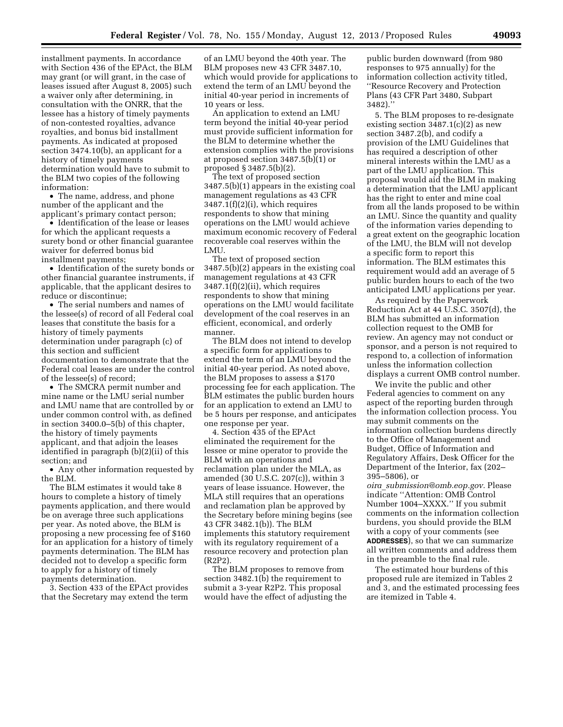installment payments. In accordance with Section 436 of the EPAct, the BLM may grant (or will grant, in the case of leases issued after August 8, 2005) such a waiver only after determining, in consultation with the ONRR, that the lessee has a history of timely payments of non-contested royalties, advance royalties, and bonus bid installment payments. As indicated at proposed section 3474.10(b), an applicant for a history of timely payments determination would have to submit to the BLM two copies of the following information:

• The name, address, and phone number of the applicant and the applicant's primary contact person;

• Identification of the lease or leases for which the applicant requests a surety bond or other financial guarantee waiver for deferred bonus bid installment payments;

• Identification of the surety bonds or other financial guarantee instruments, if applicable, that the applicant desires to reduce or discontinue;

• The serial numbers and names of the lessee(s) of record of all Federal coal leases that constitute the basis for a history of timely payments determination under paragraph (c) of this section and sufficient documentation to demonstrate that the Federal coal leases are under the control of the lessee(s) of record;

• The SMCRA permit number and mine name or the LMU serial number and LMU name that are controlled by or under common control with, as defined in section 3400.0–5(b) of this chapter, the history of timely payments applicant, and that adjoin the leases identified in paragraph (b)(2)(ii) of this section; and

• Any other information requested by the BLM.

The BLM estimates it would take 8 hours to complete a history of timely payments application, and there would be on average three such applications per year. As noted above, the BLM is proposing a new processing fee of \$160 for an application for a history of timely payments determination. The BLM has decided not to develop a specific form to apply for a history of timely payments determination.

3. Section 433 of the EPAct provides that the Secretary may extend the term of an LMU beyond the 40th year. The BLM proposes new 43 CFR 3487.10, which would provide for applications to extend the term of an LMU beyond the initial 40-year period in increments of 10 years or less.

An application to extend an LMU term beyond the initial 40-year period must provide sufficient information for the BLM to determine whether the extension complies with the provisions at proposed section 3487.5(b)(1) or proposed § 3487.5(b)(2).

The text of proposed section 3487.5(b)(1) appears in the existing coal management regulations as 43 CFR 3487.1(f)(2)(i), which requires respondents to show that mining operations on the LMU would achieve maximum economic recovery of Federal recoverable coal reserves within the LMU.

The text of proposed section 3487.5(b)(2) appears in the existing coal management regulations at 43 CFR 3487.1(f)(2)(ii), which requires respondents to show that mining operations on the LMU would facilitate development of the coal reserves in an efficient, economical, and orderly manner.

The BLM does not intend to develop a specific form for applications to extend the term of an LMU beyond the initial 40-year period. As noted above, the BLM proposes to assess a \$170 processing fee for each application. The BLM estimates the public burden hours for an application to extend an LMU to be 5 hours per response, and anticipates one response per year.

4. Section 435 of the EPAct eliminated the requirement for the lessee or mine operator to provide the BLM with an operations and reclamation plan under the MLA, as amended (30 U.S.C. 207(c)), within 3 years of lease issuance. However, the MLA still requires that an operations and reclamation plan be approved by the Secretary before mining begins (see 43 CFR 3482.1(b)). The BLM implements this statutory requirement with its regulatory requirement of a resource recovery and protection plan  $(R2P2)$ 

The BLM proposes to remove from section 3482.1(b) the requirement to submit a 3-year R2P2. This proposal would have the effect of adjusting the

public burden downward (from 980 responses to 975 annually) for the information collection activity titled, ''Resource Recovery and Protection Plans (43 CFR Part 3480, Subpart 3482).''

5. The BLM proposes to re-designate existing section  $3487.1(c)(2)$  as new section 3487.2(b), and codify a provision of the LMU Guidelines that has required a description of other mineral interests within the LMU as a part of the LMU application. This proposal would aid the BLM in making a determination that the LMU applicant has the right to enter and mine coal from all the lands proposed to be within an LMU. Since the quantity and quality of the information varies depending to a great extent on the geographic location of the LMU, the BLM will not develop a specific form to report this information. The BLM estimates this requirement would add an average of 5 public burden hours to each of the two anticipated LMU applications per year.

As required by the Paperwork Reduction Act at 44 U.S.C. 3507(d), the BLM has submitted an information collection request to the OMB for review. An agency may not conduct or sponsor, and a person is not required to respond to, a collection of information unless the information collection displays a current OMB control number.

We invite the public and other Federal agencies to comment on any aspect of the reporting burden through the information collection process. You may submit comments on the information collection burdens directly to the Office of Management and Budget, Office of Information and Regulatory Affairs, Desk Officer for the Department of the Interior, fax (202– 395–5806), or

*oira*\_*[submission@omb.eop.gov.](mailto:oira_submission@omb.eop.gov)* Please indicate ''Attention: OMB Control Number 1004–XXXX.'' If you submit comments on the information collection burdens, you should provide the BLM with a copy of your comments (see **ADDRESSES**), so that we can summarize all written comments and address them in the preamble to the final rule.

The estimated hour burdens of this proposed rule are itemized in Tables 2 and 3, and the estimated processing fees are itemized in Table 4.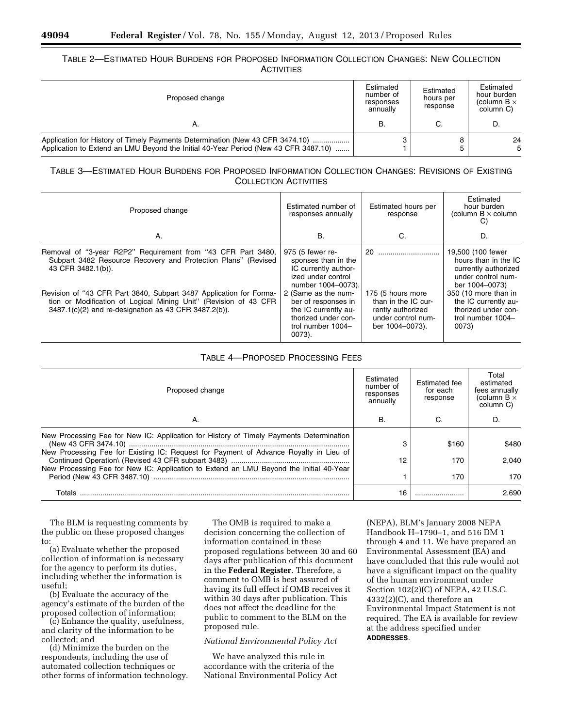# TABLE 2—ESTIMATED HOUR BURDENS FOR PROPOSED INFORMATION COLLECTION CHANGES: NEW COLLECTION **ACTIVITIES**

| Proposed change                                                                                                                                                      |   | Estimated<br>hours per<br>response | Estimated<br>hour burden<br>(column $B \times$<br>column C) |  |
|----------------------------------------------------------------------------------------------------------------------------------------------------------------------|---|------------------------------------|-------------------------------------------------------------|--|
| Α.                                                                                                                                                                   | B | C.                                 | D                                                           |  |
| Application for History of Timely Payments Determination (New 43 CFR 3474.10)<br>Application to Extend an LMU Beyond the Initial 40-Year Period (New 43 CFR 3487.10) |   |                                    | 24<br>5                                                     |  |

# TABLE 3—ESTIMATED HOUR BURDENS FOR PROPOSED INFORMATION COLLECTION CHANGES: REVISIONS OF EXISTING COLLECTION ACTIVITIES

| Proposed change                                                                                                                                                                                 | Estimated number of<br>responses annually                                                                                   | Estimated hours per<br>response                                                                        | Estimated<br>hour burden<br>(column $B \times$ column<br>C)                                               |
|-------------------------------------------------------------------------------------------------------------------------------------------------------------------------------------------------|-----------------------------------------------------------------------------------------------------------------------------|--------------------------------------------------------------------------------------------------------|-----------------------------------------------------------------------------------------------------------|
| Α.                                                                                                                                                                                              | В.                                                                                                                          | C.                                                                                                     | D.                                                                                                        |
| Removal of "3-year R2P2" Requirement from "43 CFR Part 3480,<br>Subpart 3482 Resource Recovery and Protection Plans" (Revised<br>43 CFR 3482.1(b)).                                             | 975 (5 fewer re-<br>sponses than in the<br>IC currently author-<br>ized under control<br>number 1004-0073).                 | 20                                                                                                     | 19,500 (100 fewer<br>hours than in the IC<br>currently authorized<br>under control num-<br>ber 1004-0073) |
| Revision of "43 CFR Part 3840, Subpart 3487 Application for Forma-<br>tion or Modification of Logical Mining Unit" (Revision of 43 CFR<br>3487.1(c)(2) and re-designation as 43 CFR 3487.2(b)). | 2 (Same as the num-<br>ber of responses in<br>the IC currently au-<br>thorized under con-<br>trol number 1004-<br>$0073$ ). | 175 (5 hours more<br>than in the IC cur-<br>rently authorized<br>under control num-<br>ber 1004-0073). | 350 (10 more than in<br>the IC currently au-<br>thorized under con-<br>trol number 1004-<br>0073)         |

| Proposed change                                                                                                                                                                 | Estimated<br>number of<br>responses<br>annually | Estimated fee<br>for each<br>response | Total<br>estimated<br>fees annually<br>(column $B \times$<br>column C) |
|---------------------------------------------------------------------------------------------------------------------------------------------------------------------------------|-------------------------------------------------|---------------------------------------|------------------------------------------------------------------------|
| Α.                                                                                                                                                                              | В.                                              | C.                                    | D.                                                                     |
| New Processing Fee for New IC: Application for History of Timely Payments Determination                                                                                         | 3                                               | \$160                                 | \$480                                                                  |
| New Processing Fee for Existing IC: Request for Payment of Advance Royalty in Lieu of<br>New Processing Fee for New IC: Application to Extend an LMU Beyond the Initial 40-Year | 12                                              | 170                                   | 2.040                                                                  |
| Period (New 43 CFR 3487.10)                                                                                                                                                     |                                                 | 170                                   | 170                                                                    |
| Totals                                                                                                                                                                          | 16                                              |                                       | 2.690                                                                  |

# TABLE 4—PROPOSED PROCESSING FEES

The BLM is requesting comments by the public on these proposed changes to:

(a) Evaluate whether the proposed collection of information is necessary for the agency to perform its duties, including whether the information is useful;

(b) Evaluate the accuracy of the agency's estimate of the burden of the proposed collection of information;

(c) Enhance the quality, usefulness, and clarity of the information to be collected; and

(d) Minimize the burden on the respondents, including the use of automated collection techniques or other forms of information technology.

The OMB is required to make a decision concerning the collection of information contained in these proposed regulations between 30 and 60 days after publication of this document in the **Federal Register**. Therefore, a comment to OMB is best assured of having its full effect if OMB receives it within 30 days after publication. This does not affect the deadline for the public to comment to the BLM on the proposed rule.

# *National Environmental Policy Act*

We have analyzed this rule in accordance with the criteria of the National Environmental Policy Act

(NEPA), BLM's January 2008 NEPA Handbook H–1790–1, and 516 DM 1 through 4 and 11. We have prepared an Environmental Assessment (EA) and have concluded that this rule would not have a significant impact on the quality of the human environment under Section 102(2)(C) of NEPA, 42 U.S.C. 4332(2)(C), and therefore an Environmental Impact Statement is not required. The EA is available for review at the address specified under **ADDRESSES**.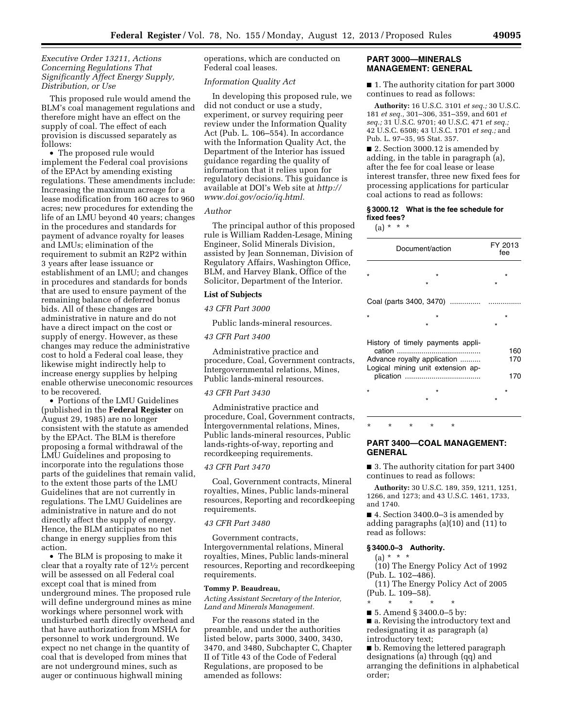# *Executive Order 13211, Actions Concerning Regulations That Significantly Affect Energy Supply, Distribution, or Use*

This proposed rule would amend the BLM's coal management regulations and therefore might have an effect on the supply of coal. The effect of each provision is discussed separately as follows:

• The proposed rule would implement the Federal coal provisions of the EPAct by amending existing regulations. These amendments include: Increasing the maximum acreage for a lease modification from 160 acres to 960 acres; new procedures for extending the life of an LMU beyond 40 years; changes in the procedures and standards for payment of advance royalty for leases and LMUs; elimination of the requirement to submit an R2P2 within 3 years after lease issuance or establishment of an LMU; and changes in procedures and standards for bonds that are used to ensure payment of the remaining balance of deferred bonus bids. All of these changes are administrative in nature and do not have a direct impact on the cost or supply of energy. However, as these changes may reduce the administrative cost to hold a Federal coal lease, they likewise might indirectly help to increase energy supplies by helping enable otherwise uneconomic resources to be recovered.

• Portions of the LMU Guidelines (published in the **Federal Register** on August 29, 1985) are no longer consistent with the statute as amended by the EPAct. The BLM is therefore proposing a formal withdrawal of the LMU Guidelines and proposing to incorporate into the regulations those parts of the guidelines that remain valid, to the extent those parts of the LMU Guidelines that are not currently in regulations. The LMU Guidelines are administrative in nature and do not directly affect the supply of energy. Hence, the BLM anticipates no net change in energy supplies from this action.

• The BLM is proposing to make it clear that a royalty rate of 121⁄2 percent will be assessed on all Federal coal except coal that is mined from underground mines. The proposed rule will define underground mines as mine workings where personnel work with undisturbed earth directly overhead and that have authorization from MSHA for personnel to work underground. We expect no net change in the quantity of coal that is developed from mines that are not underground mines, such as auger or continuous highwall mining

operations, which are conducted on Federal coal leases.

#### *Information Quality Act*

In developing this proposed rule, we did not conduct or use a study, experiment, or survey requiring peer review under the Information Quality Act (Pub. L. 106–554). In accordance with the Information Quality Act, the Department of the Interior has issued guidance regarding the quality of information that it relies upon for regulatory decisions. This guidance is available at DOI's Web site at *[http://](http://www.doi.gov/ocio/iq.html)  [www.doi.gov/ocio/iq.html.](http://www.doi.gov/ocio/iq.html)* 

#### *Author*

The principal author of this proposed rule is William Radden-Lesage, Mining Engineer, Solid Minerals Division, assisted by Jean Sonneman, Division of Regulatory Affairs, Washington Office, BLM, and Harvey Blank, Office of the Solicitor, Department of the Interior.

#### **List of Subjects**

# *43 CFR Part 3000*

Public lands-mineral resources.

# *43 CFR Part 3400*

Administrative practice and procedure, Coal, Government contracts, Intergovernmental relations, Mines, Public lands-mineral resources.

# *43 CFR Part 3430*

Administrative practice and procedure, Coal, Government contracts, Intergovernmental relations, Mines, Public lands-mineral resources, Public lands-rights-of-way, reporting and recordkeeping requirements.

#### *43 CFR Part 3470*

Coal, Government contracts, Mineral royalties, Mines, Public lands-mineral resources, Reporting and recordkeeping requirements.

# *43 CFR Part 3480*

Government contracts, Intergovernmental relations, Mineral royalties, Mines, Public lands-mineral resources, Reporting and recordkeeping requirements.

# **Tommy P. Beaudreau,**

*Acting Assistant Secretary of the Interior, Land and Minerals Management.* 

For the reasons stated in the preamble, and under the authorities listed below, parts 3000, 3400, 3430, 3470, and 3480, Subchapter C, Chapter II of Title 43 of the Code of Federal Regulations, are proposed to be amended as follows:

#### **PART 3000—MINERALS MANAGEMENT: GENERAL**

■ 1. The authority citation for part 3000 continues to read as follows:

**Authority:** 16 U.S.C. 3101 *et seq.;* 30 U.S.C. 181 *et seq.,* 301–306, 351–359, and 601 *et seq.;* 31 U.S.C. 9701; 40 U.S.C. 471 *et seq.;*  42 U.S.C. 6508; 43 U.S.C. 1701 *et seq.;* and Pub. L. 97–35, 95 Stat. 357.

■ 2. Section 3000.12 is amended by adding, in the table in paragraph (a), after the fee for coal lease or lease interest transfer, three new fixed fees for processing applications for particular coal actions to read as follows:

# **§ 3000.12 What is the fee schedule for fixed fees?**

 $(a) * * * *$ 

| Document/action                   | FY 2013<br>fee |  |  |
|-----------------------------------|----------------|--|--|
|                                   | $\star$        |  |  |
|                                   |                |  |  |
|                                   |                |  |  |
| ÷                                 |                |  |  |
|                                   |                |  |  |
| History of timely payments appli- |                |  |  |
| Advance royalty application       | 160<br>170     |  |  |
| Logical mining unit extension ap- | 170            |  |  |
| ÷                                 | ÷              |  |  |
|                                   |                |  |  |
|                                   |                |  |  |

\* \* \* \* \*

# **PART 3400—COAL MANAGEMENT: GENERAL**

■ 3. The authority citation for part 3400 continues to read as follows:

**Authority:** 30 U.S.C. 189, 359, 1211, 1251, 1266, and 1273; and 43 U.S.C. 1461, 1733, and 1740.

■ 4. Section 3400.0–3 is amended by adding paragraphs (a)(10) and (11) to read as follows:

# **§ 3400.0–3 Authority.**

# $(a) * * * *$

(10) The Energy Policy Act of 1992 (Pub. L. 102–486).

(11) The Energy Policy Act of 2005 (Pub. L. 109–58).

\* \* \* \* \*

■ 5. Amend § 3400.0–5 by:

■ a. Revising the introductory text and redesignating it as paragraph (a) introductory text;

■ b. Removing the lettered paragraph designations (a) through (qq) and arranging the definitions in alphabetical order;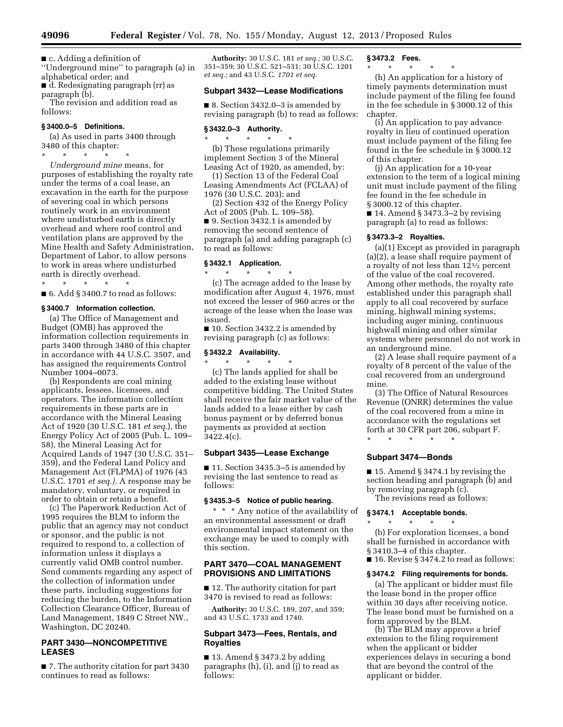■ c. Adding a definition of

''Underground mine'' to paragraph (a) in alphabetical order; and

■ d. Redesignating paragraph (rr) as paragraph (b). The revision and addition read as

follows:

# **§ 3400.0–5 Definitions.**

(a) As used in parts 3400 through 3480 of this chapter:

\* \* \* \* \* *Underground mine* means, for purposes of establishing the royalty rate under the terms of a coal lease, an excavation in the earth for the purpose of severing coal in which persons routinely work in an environment where undisturbed earth is directly overhead and where roof control and ventilation plans are approved by the Mine Health and Safety Administration, Department of Labor, to allow persons to work in areas where undisturbed earth is directly overhead.

\* \* \* \* \*

■ 6. Add § 3400.7 to read as follows:

# **§ 3400.7 Information collection.**

(a) The Office of Management and Budget (OMB) has approved the information collection requirements in parts 3400 through 3480 of this chapter in accordance with 44 U.S.C. 3507, and has assigned the requirements Control Number 1004–0073.

(b) Respondents are coal mining applicants, lessees, licensees, and operators. The information collection requirements in these parts are in accordance with the Mineral Leasing Act of 1920 (30 U.S.C. 181 *et seq.*), the Energy Policy Act of 2005 (Pub. L. 109– 58), the Mineral Leasing Act for Acquired Lands of 1947 (30 U.S.C. 351– 359), and the Federal Land Policy and Management Act (FLPMA) of 1976 (43 U.S.C. 1701 *et seq.).* A response may be mandatory, voluntary, or required in order to obtain or retain a benefit.

(c) The Paperwork Reduction Act of 1995 requires the BLM to inform the public that an agency may not conduct or sponsor, and the public is not required to respond to, a collection of information unless it displays a currently valid OMB control number. Send comments regarding any aspect of the collection of information under these parts, including suggestions for reducing the burden, to the Information Collection Clearance Officer, Bureau of Land Management, 1849 C Street NW., Washington, DC 20240.

# **PART 3430—NONCOMPETITIVE LEASES**

■ 7. The authority citation for part 3430 continues to read as follows:

**Authority:** 30 U.S.C. 181 *et seq.;* 30 U.S.C. 351–359; 30 U.S.C. 521–531; 30 U.S.C. 1201 *et seq.;* and 43 U.S.C. *1701 et seq.* 

# **Subpart 3432—Lease Modifications**

■ 8. Section 3432.0–3 is amended by revising paragraph (b) to read as follows:

#### **§ 3432.0–3 Authority.**

\* \* \* \* \* (b) These regulations primarily implement Section 3 of the Mineral Leasing Act of 1920, as amended, by:

(1) Section 13 of the Federal Coal Leasing Amendments Act (FCLAA) of 1976 (30 U.S.C. 203); and

(2) Section 432 of the Energy Policy Act of 2005 (Pub. L. 109–58). ■ 9. Section 3432.1 is amended by removing the second sentence of

paragraph (a) and adding paragraph (c) to read as follows:

# **§ 3432.1 Application.**

\* \* \* \* \* (c) The acreage added to the lease by modification after August 4, 1976, must

not exceed the lesser of 960 acres or the acreage of the lease when the lease was issued. ■ 10. Section 3432.2 is amended by

revising paragraph (c) as follows:

# **§ 3432.2 Availability.**

\* \* \* \* \* (c) The lands applied for shall be added to the existing lease without competitive bidding. The United States shall receive the fair market value of the lands added to a lease either by cash bonus payment or by deferred bonus payments as provided at section 3422.4(c).

# **Subpart 3435—Lease Exchange**

■ 11. Section 3435.3–5 is amended by revising the last sentence to read as follows:

# **§ 3435.3–5 Notice of public hearing.**

\* \* \* Any notice of the availability of an environmental assessment or draft environmental impact statement on the exchange may be used to comply with this section.

# **PART 3470—COAL MANAGEMENT PROVISIONS AND LIMITATIONS**

■ 12. The authority citation for part 3470 is revised to read as follows:

**Authority:** 30 U.S.C. 189, 207, and 359; and 43 U.S.C. 1733 and 1740.

# **Subpart 3473—Fees, Rentals, and Royalties**

 $\blacksquare$  13. Amend § 3473.2 by adding paragraphs (h), (i), and (j) to read as follows:

# **§ 3473.2 Fees.**

\* \* \* \* \*

(h) An application for a history of timely payments determination must include payment of the filing fee found in the fee schedule in § 3000.12 of this chapter.

(i) An application to pay advance royalty in lieu of continued operation must include payment of the filing fee found in the fee schedule in § 3000.12 of this chapter.

(j) An application for a 10-year extension to the term of a logical mining unit must include payment of the filing fee found in the fee schedule in § 3000.12 of this chapter. ■ 14. Amend § 3473.3–2 by revising

paragraph (a) to read as follows:

# **§ 3473.3–2 Royalties.**

(a)(1) Except as provided in paragraph (a)(2), a lease shall require payment of a royalty of not less than 121⁄2 percent of the value of the coal recovered. Among other methods, the royalty rate established under this paragraph shall apply to all coal recovered by surface mining, highwall mining systems, including auger mining, continuous highwall mining and other similar systems where personnel do not work in an underground mine.

(2) A lease shall require payment of a royalty of 8 percent of the value of the coal recovered from an underground mine.

(3) The Office of Natural Resources Revenue (ONRR) determines the value of the coal recovered from a mine in accordance with the regulations set forth at 30 CFR part 206, subpart F. \* \* \* \* \*

# **Subpart 3474—Bonds**

■ 15. Amend § 3474.1 by revising the section heading and paragraph (b) and by removing paragraph (c). The revisions read as follows:

# **§ 3474.1 Acceptable bonds.**

\* \* \* \* \* (b) For exploration licenses, a bond shall be furnished in accordance with § 3410.3–4 of this chapter. ■ 16. Revise § 3474.2 to read as follows:

#### **§ 3474.2 Filing requirements for bonds.**

(a) The applicant or bidder must file the lease bond in the proper office within 30 days after receiving notice. The lease bond must be furnished on a form approved by the BLM.

(b) The BLM may approve a brief extension to the filing requirement when the applicant or bidder experiences delays in securing a bond that are beyond the control of the applicant or bidder.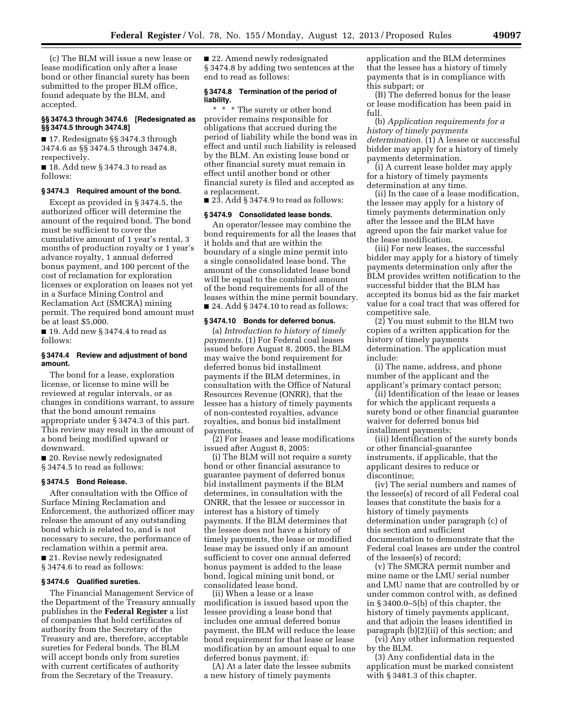(c) The BLM will issue a new lease or lease modification only after a lease bond or other financial surety has been submitted to the proper BLM office, found adequate by the BLM, and accepted.

#### **§§ 3474.3 through 3474.6 [Redesignated as §§ 3474.5 through 3474.8]**

■ 17. Redesignate §§ 3474.3 through 3474.6 as §§ 3474.5 through 3474.8, respectively.

■ 18. Add new § 3474.3 to read as follows:

#### **§ 3474.3 Required amount of the bond.**

Except as provided in § 3474.5, the authorized officer will determine the amount of the required bond. The bond must be sufficient to cover the cumulative amount of 1 year's rental, 3 months of production royalty or 1 year's advance royalty, 1 annual deferred bonus payment, and 100 percent of the cost of reclamation for exploration licenses or exploration on leases not yet in a Surface Mining Control and Reclamation Act (SMCRA) mining permit. The required bond amount must be at least \$5,000.

 $\blacksquare$  19. Add new § 3474.4 to read as follows:

#### **§ 3474.4 Review and adjustment of bond amount.**

The bond for a lease, exploration license, or license to mine will be reviewed at regular intervals, or as changes in conditions warrant, to assure that the bond amount remains appropriate under § 3474.3 of this part. This review may result in the amount of a bond being modified upward or downward.

■ 20. Revise newly redesignated § 3474.5 to read as follows:

#### **§ 3474.5 Bond Release.**

After consultation with the Office of Surface Mining Reclamation and Enforcement, the authorized officer may release the amount of any outstanding bond which is related to, and is not necessary to secure, the performance of reclamation within a permit area. ■ 21. Revise newly redesignated § 3474.6 to read as follows:

# **§ 3474.6 Qualified sureties.**

The Financial Management Service of the Department of the Treasury annually publishes in the **Federal Register** a list of companies that hold certificates of authority from the Secretary of the Treasury and are, therefore, acceptable sureties for Federal bonds. The BLM will accept bonds only from sureties with current certificates of authority from the Secretary of the Treasury.

■ 22. Amend newly redesignated § 3474.8 by adding two sentences at the end to read as follows:

#### **§ 3474.8 Termination of the period of liability.**

\* \* \* The surety or other bond provider remains responsible for obligations that accrued during the period of liability while the bond was in effect and until such liability is released by the BLM. An existing lease bond or other financial surety must remain in effect until another bond or other financial surety is filed and accepted as a replacement.

 $\blacksquare$  23. Add § 3474.9 to read as follows:

# **§ 3474.9 Consolidated lease bonds.**

An operator/lessee may combine the bond requirements for all the leases that it holds and that are within the boundary of a single mine permit into a single consolidated lease bond. The amount of the consolidated lease bond will be equal to the combined amount of the bond requirements for all of the leases within the mine permit boundary. ■ 24. Add § 3474.10 to read as follows:

#### **§ 3474.10 Bonds for deferred bonus.**

(a) *Introduction to history of timely payments.* (1) For Federal coal leases issued before August 8, 2005, the BLM may waive the bond requirement for deferred bonus bid installment payments if the BLM determines, in consultation with the Office of Natural Resources Revenue (ONRR), that the lessee has a history of timely payments of non-contested royalties, advance royalties, and bonus bid installment payments.

(2) For leases and lease modifications issued after August 8, 2005:

(i) The BLM will not require a surety bond or other financial assurance to guarantee payment of deferred bonus bid installment payments if the BLM determines, in consultation with the ONRR, that the lessee or successor in interest has a history of timely payments. If the BLM determines that the lessee does not have a history of timely payments, the lease or modified lease may be issued only if an amount sufficient to cover one annual deferred bonus payment is added to the lease bond, logical mining unit bond, or consolidated lease bond.

(ii) When a lease or a lease modification is issued based upon the lessee providing a lease bond that includes one annual deferred bonus payment, the BLM will reduce the lease bond requirement for that lease or lease modification by an amount equal to one deferred bonus payment, if:

(A) At a later date the lessee submits a new history of timely payments

application and the BLM determines that the lessee has a history of timely payments that is in compliance with this subpart; or

(B) The deferred bonus for the lease or lease modification has been paid in full.

(b) *Application requirements for a history of timely payments determination.* (1) A lessee or successful bidder may apply for a history of timely payments determination.

(i) A current lease holder may apply for a history of timely payments determination at any time.

(ii) In the case of a lease modification, the lessee may apply for a history of timely payments determination only after the lessee and the BLM have agreed upon the fair market value for the lease modification.

(iii) For new leases, the successful bidder may apply for a history of timely payments determination only after the BLM provides written notification to the successful bidder that the BLM has accepted its bonus bid as the fair market value for a coal tract that was offered for competitive sale.

 $(2)$  You must submit to the BLM two copies of a written application for the history of timely payments determination. The application must include:

(i) The name, address, and phone number of the applicant and the applicant's primary contact person;

(ii) Identification of the lease or leases for which the applicant requests a surety bond or other financial guarantee waiver for deferred bonus bid installment payments;

(iii) Identification of the surety bonds or other financial-guarantee instruments, if applicable, that the applicant desires to reduce or discontinue;

(iv) The serial numbers and names of the lessee(s) of record of all Federal coal leases that constitute the basis for a history of timely payments determination under paragraph (c) of this section and sufficient documentation to demonstrate that the Federal coal leases are under the control of the lessee(s) of record;

(v) The SMCRA permit number and mine name or the LMU serial number and LMU name that are controlled by or under common control with, as defined in § 3400.0–5(b) of this chapter, the history of timely payments applicant, and that adjoin the leases identified in paragraph (b)(2)(ii) of this section; and

(vi) Any other information requested by the BLM.

(3) Any confidential data in the application must be marked consistent with § 3481.3 of this chapter.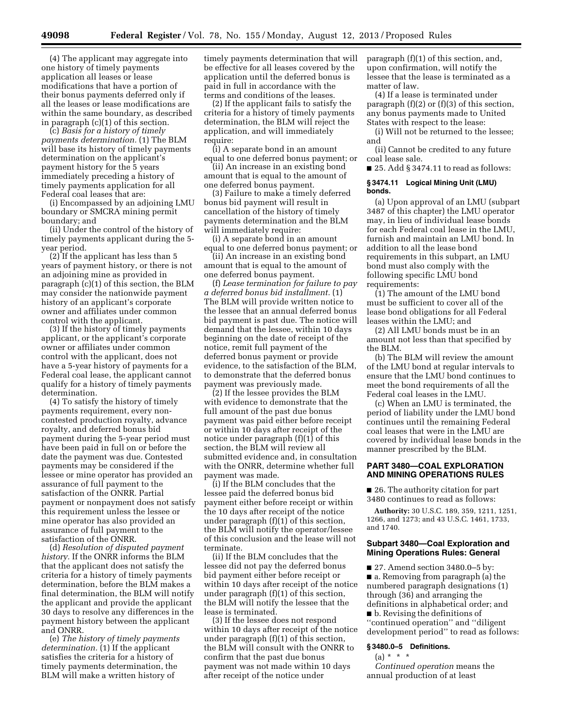(4) The applicant may aggregate into one history of timely payments application all leases or lease modifications that have a portion of their bonus payments deferred only if all the leases or lease modifications are within the same boundary, as described in paragraph (c)(1) of this section.

(c) *Basis for a history of timely payments determination.* (1) The BLM will base its history of timely payments determination on the applicant's payment history for the 5 years immediately preceding a history of timely payments application for all Federal coal leases that are:

(i) Encompassed by an adjoining LMU boundary or SMCRA mining permit boundary; and

(ii) Under the control of the history of timely payments applicant during the 5 year period.

(2) If the applicant has less than 5 years of payment history, or there is not an adjoining mine as provided in paragraph (c)(1) of this section, the BLM may consider the nationwide payment history of an applicant's corporate owner and affiliates under common control with the applicant.

(3) If the history of timely payments applicant, or the applicant's corporate owner or affiliates under common control with the applicant, does not have a 5-year history of payments for a Federal coal lease, the applicant cannot qualify for a history of timely payments determination.

(4) To satisfy the history of timely payments requirement, every noncontested production royalty, advance royalty, and deferred bonus bid payment during the 5-year period must have been paid in full on or before the date the payment was due. Contested payments may be considered if the lessee or mine operator has provided an assurance of full payment to the satisfaction of the ONRR. Partial payment or nonpayment does not satisfy this requirement unless the lessee or mine operator has also provided an assurance of full payment to the satisfaction of the ONRR.

(d) *Resolution of disputed payment history.* If the ONRR informs the BLM that the applicant does not satisfy the criteria for a history of timely payments determination, before the BLM makes a final determination, the BLM will notify the applicant and provide the applicant 30 days to resolve any differences in the payment history between the applicant and ONRR.

(e) *The history of timely payments determination.* (1) If the applicant satisfies the criteria for a history of timely payments determination, the BLM will make a written history of

timely payments determination that will be effective for all leases covered by the application until the deferred bonus is paid in full in accordance with the terms and conditions of the leases.

(2) If the applicant fails to satisfy the criteria for a history of timely payments determination, the BLM will reject the application, and will immediately require:

(i) A separate bond in an amount equal to one deferred bonus payment; or

(ii) An increase in an existing bond amount that is equal to the amount of one deferred bonus payment.

(3) Failure to make a timely deferred bonus bid payment will result in cancellation of the history of timely payments determination and the BLM will immediately require:

(i) A separate bond in an amount equal to one deferred bonus payment; or

(ii) An increase in an existing bond amount that is equal to the amount of one deferred bonus payment.

(f) *Lease termination for failure to pay a deferred bonus bid installment.* (1) The BLM will provide written notice to the lessee that an annual deferred bonus bid payment is past due. The notice will demand that the lessee, within 10 days beginning on the date of receipt of the notice, remit full payment of the deferred bonus payment or provide evidence, to the satisfaction of the BLM, to demonstrate that the deferred bonus payment was previously made.

(2) If the lessee provides the BLM with evidence to demonstrate that the full amount of the past due bonus payment was paid either before receipt or within 10 days after receipt of the notice under paragraph (f)(1) of this section, the BLM will review all submitted evidence and, in consultation with the ONRR, determine whether full payment was made.

(i) If the BLM concludes that the lessee paid the deferred bonus bid payment either before receipt or within the 10 days after receipt of the notice under paragraph (f)(1) of this section, the BLM will notify the operator/lessee of this conclusion and the lease will not terminate.

(ii) If the BLM concludes that the lessee did not pay the deferred bonus bid payment either before receipt or within 10 days after receipt of the notice under paragraph (f)(1) of this section, the BLM will notify the lessee that the lease is terminated.

(3) If the lessee does not respond within 10 days after receipt of the notice under paragraph (f)(1) of this section, the BLM will consult with the ONRR to confirm that the past due bonus payment was not made within 10 days after receipt of the notice under

paragraph (f)(1) of this section, and, upon confirmation, will notify the lessee that the lease is terminated as a matter of law.

(4) If a lease is terminated under paragraph (f)(2) or (f)(3) of this section, any bonus payments made to United States with respect to the lease:

(i) Will not be returned to the lessee; and

(ii) Cannot be credited to any future coal lease sale.

■ 25. Add § 3474.11 to read as follows:

#### **§ 3474.11 Logical Mining Unit (LMU) bonds.**

(a) Upon approval of an LMU (subpart 3487 of this chapter) the LMU operator may, in lieu of individual lease bonds for each Federal coal lease in the LMU, furnish and maintain an LMU bond. In addition to all the lease bond requirements in this subpart, an LMU bond must also comply with the following specific LMU bond requirements:

(1) The amount of the LMU bond must be sufficient to cover all of the lease bond obligations for all Federal leases within the LMU; and

(2) All LMU bonds must be in an amount not less than that specified by the BLM.

(b) The BLM will review the amount of the LMU bond at regular intervals to ensure that the LMU bond continues to meet the bond requirements of all the Federal coal leases in the LMU.

(c) When an LMU is terminated, the period of liability under the LMU bond continues until the remaining Federal coal leases that were in the LMU are covered by individual lease bonds in the manner prescribed by the BLM.

# **PART 3480—COAL EXPLORATION AND MINING OPERATIONS RULES**

■ 26. The authority citation for part 3480 continues to read as follows:

**Authority:** 30 U.S.C. 189, 359, 1211, 1251, 1266, and 1273; and 43 U.S.C. 1461, 1733, and 1740.

# **Subpart 3480—Coal Exploration and Mining Operations Rules: General**

■ 27. Amend section 3480.0–5 by: ■ a. Removing from paragraph (a) the numbered paragraph designations (1) through (36) and arranging the definitions in alphabetical order; and ■ b. Revising the definitions of ''continued operation'' and ''diligent development period'' to read as follows:

# **§ 3480.0–5 Definitions.**

 $(a) * * * *$ 

*Continued operation* means the annual production of at least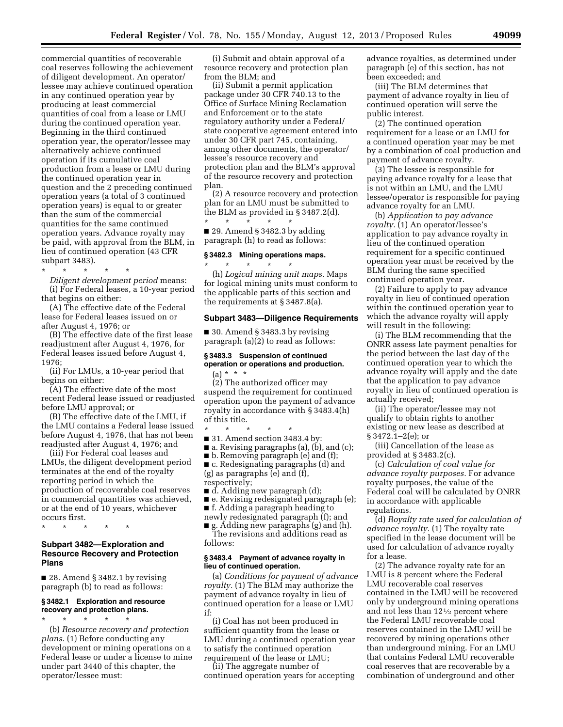commercial quantities of recoverable coal reserves following the achievement of diligent development. An operator/ lessee may achieve continued operation in any continued operation year by producing at least commercial quantities of coal from a lease or LMU during the continued operation year. Beginning in the third continued operation year, the operator/lessee may alternatively achieve continued operation if its cumulative coal production from a lease or LMU during the continued operation year in question and the 2 preceding continued operation years (a total of 3 continued operation years) is equal to or greater than the sum of the commercial quantities for the same continued operation years. Advance royalty may be paid, with approval from the BLM, in lieu of continued operation (43 CFR subpart 3483).

\* \* \* \* \* *Diligent development period* means: (i) For Federal leases, a 10-year period that begins on either:

(A) The effective date of the Federal lease for Federal leases issued on or after August 4, 1976; or

(B) The effective date of the first lease readjustment after August 4, 1976, for Federal leases issued before August 4, 1976;

(ii) For LMUs, a 10-year period that begins on either:

(A) The effective date of the most recent Federal lease issued or readjusted before LMU approval; or

(B) The effective date of the LMU, if the LMU contains a Federal lease issued before August 4, 1976, that has not been readjusted after August 4, 1976; and

(iii) For Federal coal leases and LMUs, the diligent development period terminates at the end of the royalty reporting period in which the production of recoverable coal reserves in commercial quantities was achieved, or at the end of 10 years, whichever occurs first.

\* \* \* \* \*

# **Subpart 3482—Exploration and Resource Recovery and Protection Plans**

■ 28. Amend § 3482.1 by revising paragraph (b) to read as follows:

# **§ 3482.1 Exploration and resource recovery and protection plans.**

\* \* \* \* \* (b) *Resource recovery and protection plans.* (1) Before conducting any development or mining operations on a Federal lease or under a license to mine under part 3440 of this chapter, the operator/lessee must:

(i) Submit and obtain approval of a resource recovery and protection plan from the BLM; and

(ii) Submit a permit application package under 30 CFR 740.13 to the Office of Surface Mining Reclamation and Enforcement or to the state regulatory authority under a Federal/ state cooperative agreement entered into under 30 CFR part 745, containing, among other documents, the operator/ lessee's resource recovery and protection plan and the BLM's approval of the resource recovery and protection plan.

(2) A resource recovery and protection plan for an LMU must be submitted to the BLM as provided in § 3487.2(d). \* \* \* \* \*

 $\blacksquare$  29. Amend § 3482.3 by adding paragraph (h) to read as follows:

#### **§ 3482.3 Mining operations maps.**

\* \* \* \* \* (h) *Logical mining unit maps.* Maps for logical mining units must conform to the applicable parts of this section and the requirements at § 3487.8(a).

#### **Subpart 3483—Diligence Requirements**

 $\blacksquare$  30. Amend § 3483.3 by revising paragraph (a)(2) to read as follows:

# **§ 3483.3 Suspension of continued operation or operations and production.**   $(a) * * * *$

(2) The authorized officer may suspend the requirement for continued operation upon the payment of advance royalty in accordance with § 3483.4(h) of this title.

\* \* \* \* \* ■ 31. Amend section 3483.4 by:

■ a. Revising paragraphs (a), (b), and (c);

■ b. Removing paragraph (e) and (f);

■ c. Redesignating paragraphs (d) and (g) as paragraphs (e) and (f),

respectively;

- d. Adding new paragraph (d);
- e. Revising redesignated paragraph (e);
- f. Adding a paragraph heading to
- newly redesignated paragraph (f); and

■ g. Adding new paragraphs (g) and (h). The revisions and additions read as follows:

#### **§ 3483.4 Payment of advance royalty in lieu of continued operation.**

(a) *Conditions for payment of advance royalty.* (1) The BLM may authorize the payment of advance royalty in lieu of continued operation for a lease or LMU if:

(i) Coal has not been produced in sufficient quantity from the lease or LMU during a continued operation year to satisfy the continued operation requirement of the lease or LMU;

(ii) The aggregate number of continued operation years for accepting advance royalties, as determined under paragraph (e) of this section, has not been exceeded; and

(iii) The BLM determines that payment of advance royalty in lieu of continued operation will serve the public interest.

(2) The continued operation requirement for a lease or an LMU for a continued operation year may be met by a combination of coal production and payment of advance royalty.

(3) The lessee is responsible for paying advance royalty for a lease that is not within an LMU, and the LMU lessee/operator is responsible for paying advance royalty for an LMU.

(b) *Application to pay advance royalty.* (1) An operator/lessee's application to pay advance royalty in lieu of the continued operation requirement for a specific continued operation year must be received by the BLM during the same specified continued operation year.

(2) Failure to apply to pay advance royalty in lieu of continued operation within the continued operation year to which the advance royalty will apply will result in the following:

(i) The BLM recommending that the ONRR assess late payment penalties for the period between the last day of the continued operation year to which the advance royalty will apply and the date that the application to pay advance royalty in lieu of continued operation is actually received;

(ii) The operator/lessee may not qualify to obtain rights to another existing or new lease as described at § 3472.1–2(e); or

(iii) Cancellation of the lease as provided at § 3483.2(c).

(c) *Calculation of coal value for advance royalty purposes.* For advance royalty purposes, the value of the Federal coal will be calculated by ONRR in accordance with applicable regulations.

(d) *Royalty rate used for calculation of advance royalty.* (1) The royalty rate specified in the lease document will be used for calculation of advance royalty for a lease.

(2) The advance royalty rate for an LMU is 8 percent where the Federal LMU recoverable coal reserves contained in the LMU will be recovered only by underground mining operations and not less than 121⁄2 percent where the Federal LMU recoverable coal reserves contained in the LMU will be recovered by mining operations other than underground mining. For an LMU that contains Federal LMU recoverable coal reserves that are recoverable by a combination of underground and other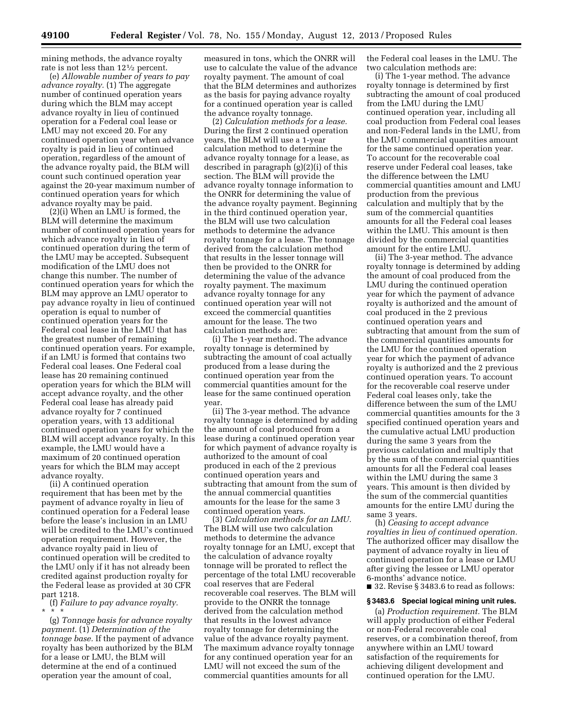mining methods, the advance royalty rate is not less than 121⁄2 percent.

(e) *Allowable number of years to pay advance royalty.* (1) The aggregate number of continued operation years during which the BLM may accept advance royalty in lieu of continued operation for a Federal coal lease or LMU may not exceed 20. For any continued operation year when advance royalty is paid in lieu of continued operation, regardless of the amount of the advance royalty paid, the BLM will count such continued operation year against the 20-year maximum number of continued operation years for which advance royalty may be paid.

(2)(i) When an LMU is formed, the BLM will determine the maximum number of continued operation years for which advance royalty in lieu of continued operation during the term of the LMU may be accepted. Subsequent modification of the LMU does not change this number. The number of continued operation years for which the BLM may approve an LMU operator to pay advance royalty in lieu of continued operation is equal to number of continued operation years for the Federal coal lease in the LMU that has the greatest number of remaining continued operation years. For example, if an LMU is formed that contains two Federal coal leases. One Federal coal lease has 20 remaining continued operation years for which the BLM will accept advance royalty, and the other Federal coal lease has already paid advance royalty for 7 continued operation years, with 13 additional continued operation years for which the BLM will accept advance royalty. In this example, the LMU would have a maximum of 20 continued operation years for which the BLM may accept advance royalty.

(ii) A continued operation requirement that has been met by the payment of advance royalty in lieu of continued operation for a Federal lease before the lease's inclusion in an LMU will be credited to the LMU's continued operation requirement. However, the advance royalty paid in lieu of continued operation will be credited to the LMU only if it has not already been credited against production royalty for the Federal lease as provided at 30 CFR part 1218.

(f) *Failure to pay advance royalty.*  \* \* \*

(g) *Tonnage basis for advance royalty payment.* (1) *Determination of the tonnage base.* If the payment of advance royalty has been authorized by the BLM for a lease or LMU, the BLM will determine at the end of a continued operation year the amount of coal,

measured in tons, which the ONRR will use to calculate the value of the advance royalty payment. The amount of coal that the BLM determines and authorizes as the basis for paying advance royalty for a continued operation year is called the advance royalty tonnage.

(2) *Calculation methods for a lease.*  During the first 2 continued operation years, the BLM will use a 1-year calculation method to determine the advance royalty tonnage for a lease, as described in paragraph (g)(2)(i) of this section. The BLM will provide the advance royalty tonnage information to the ONRR for determining the value of the advance royalty payment. Beginning in the third continued operation year, the BLM will use two calculation methods to determine the advance royalty tonnage for a lease. The tonnage derived from the calculation method that results in the lesser tonnage will then be provided to the ONRR for determining the value of the advance royalty payment. The maximum advance royalty tonnage for any continued operation year will not exceed the commercial quantities amount for the lease. The two calculation methods are:

(i) The 1-year method. The advance royalty tonnage is determined by subtracting the amount of coal actually produced from a lease during the continued operation year from the commercial quantities amount for the lease for the same continued operation year.

(ii) The 3-year method. The advance royalty tonnage is determined by adding the amount of coal produced from a lease during a continued operation year for which payment of advance royalty is authorized to the amount of coal produced in each of the 2 previous continued operation years and subtracting that amount from the sum of the annual commercial quantities amounts for the lease for the same 3 continued operation years.

(3) *Calculation methods for an LMU.*  The BLM will use two calculation methods to determine the advance royalty tonnage for an LMU, except that the calculation of advance royalty tonnage will be prorated to reflect the percentage of the total LMU recoverable coal reserves that are Federal recoverable coal reserves. The BLM will provide to the ONRR the tonnage derived from the calculation method that results in the lowest advance royalty tonnage for determining the value of the advance royalty payment. The maximum advance royalty tonnage for any continued operation year for an LMU will not exceed the sum of the commercial quantities amounts for all

the Federal coal leases in the LMU. The two calculation methods are:

(i) The 1-year method. The advance royalty tonnage is determined by first subtracting the amount of coal produced from the LMU during the LMU continued operation year, including all coal production from Federal coal leases and non-Federal lands in the LMU, from the LMU commercial quantities amount for the same continued operation year. To account for the recoverable coal reserve under Federal coal leases, take the difference between the LMU commercial quantities amount and LMU production from the previous calculation and multiply that by the sum of the commercial quantities amounts for all the Federal coal leases within the LMU. This amount is then divided by the commercial quantities amount for the entire LMU.

(ii) The 3-year method. The advance royalty tonnage is determined by adding the amount of coal produced from the LMU during the continued operation year for which the payment of advance royalty is authorized and the amount of coal produced in the 2 previous continued operation years and subtracting that amount from the sum of the commercial quantities amounts for the LMU for the continued operation year for which the payment of advance royalty is authorized and the 2 previous continued operation years. To account for the recoverable coal reserve under Federal coal leases only, take the difference between the sum of the LMU commercial quantities amounts for the 3 specified continued operation years and the cumulative actual LMU production during the same 3 years from the previous calculation and multiply that by the sum of the commercial quantities amounts for all the Federal coal leases within the LMU during the same 3 years. This amount is then divided by the sum of the commercial quantities amounts for the entire LMU during the same 3 years.

(h) *Ceasing to accept advance royalties in lieu of continued operation.*  The authorized officer may disallow the payment of advance royalty in lieu of continued operation for a lease or LMU after giving the lessee or LMU operator 6-months' advance notice.

■ 32. Revise § 3483.6 to read as follows:

#### **§ 3483.6 Special logical mining unit rules.**

(a) *Production requirement.* The BLM will apply production of either Federal or non-Federal recoverable coal reserves, or a combination thereof, from anywhere within an LMU toward satisfaction of the requirements for achieving diligent development and continued operation for the LMU.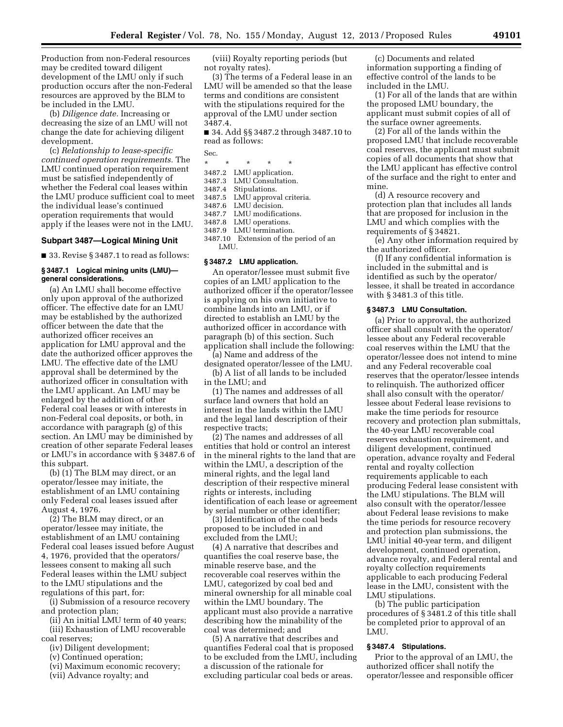Production from non-Federal resources may be credited toward diligent development of the LMU only if such production occurs after the non-Federal resources are approved by the BLM to be included in the LMU.

(b) *Diligence date.* Increasing or decreasing the size of an LMU will not change the date for achieving diligent development.

(c) *Relationship to lease-specific continued operation requirements.* The LMU continued operation requirement must be satisfied independently of whether the Federal coal leases within the LMU produce sufficient coal to meet the individual lease's continued operation requirements that would apply if the leases were not in the LMU.

# **Subpart 3487—Logical Mining Unit**

■ 33. Revise § 3487.1 to read as follows:

#### **§ 3487.1 Logical mining units (LMU) general considerations.**

(a) An LMU shall become effective only upon approval of the authorized officer. The effective date for an LMU may be established by the authorized officer between the date that the authorized officer receives an application for LMU approval and the date the authorized officer approves the LMU. The effective date of the LMU approval shall be determined by the authorized officer in consultation with the LMU applicant. An LMU may be enlarged by the addition of other Federal coal leases or with interests in non-Federal coal deposits, or both, in accordance with paragraph (g) of this section. An LMU may be diminished by creation of other separate Federal leases or LMU's in accordance with § 3487.6 of this subpart.

(b) (1) The BLM may direct, or an operator/lessee may initiate, the establishment of an LMU containing only Federal coal leases issued after August 4, 1976.

(2) The BLM may direct, or an operator/lessee may initiate, the establishment of an LMU containing Federal coal leases issued before August 4, 1976, provided that the operators/ lessees consent to making all such Federal leases within the LMU subject to the LMU stipulations and the regulations of this part, for:

(i) Submission of a resource recovery and protection plan;

(ii) An initial LMU term of 40 years; (iii) Exhaustion of LMU recoverable coal reserves;

- (iv) Diligent development;
- (v) Continued operation;
- (vi) Maximum economic recovery;
- (vii) Advance royalty; and

(viii) Royalty reporting periods (but not royalty rates).

(3) The terms of a Federal lease in an LMU will be amended so that the lease terms and conditions are consistent with the stipulations required for the approval of the LMU under section 3487.4.

■ 34. Add §§ 3487.2 through 3487.10 to read as follows:

Sec.

- \* \* \* \* \*
- 
- 
- 3487.4 Stipulations.<br>3487.5 LMU approve
- LMU approval criteria.
- 3487.6 LMU decision.<br>3487.7 LMU modificat
- 3487.7 LMU modifications.<br>3487.8 LMU operations. LMU operations.
- 3487.9 LMU termination.
- 3487.10 Extension of the period of an LMU.

#### **§ 3487.2 LMU application.**

An operator/lessee must submit five copies of an LMU application to the authorized officer if the operator/lessee is applying on his own initiative to combine lands into an LMU, or if directed to establish an LMU by the authorized officer in accordance with paragraph (b) of this section. Such application shall include the following:

(a) Name and address of the designated operator/lessee of the LMU.

(b) A list of all lands to be included in the LMU; and

(1) The names and addresses of all surface land owners that hold an interest in the lands within the LMU and the legal land description of their respective tracts;

(2) The names and addresses of all entities that hold or control an interest in the mineral rights to the land that are within the LMU, a description of the mineral rights, and the legal land description of their respective mineral rights or interests, including identification of each lease or agreement by serial number or other identifier;

(3) Identification of the coal beds proposed to be included in and excluded from the LMU;

(4) A narrative that describes and quantifies the coal reserve base, the minable reserve base, and the recoverable coal reserves within the LMU, categorized by coal bed and mineral ownership for all minable coal within the LMU boundary. The applicant must also provide a narrative describing how the minability of the coal was determined; and

(5) A narrative that describes and quantifies Federal coal that is proposed to be excluded from the LMU, including a discussion of the rationale for excluding particular coal beds or areas.

(c) Documents and related information supporting a finding of effective control of the lands to be included in the LMU.

(1) For all of the lands that are within the proposed LMU boundary, the applicant must submit copies of all of the surface owner agreements.

(2) For all of the lands within the proposed LMU that include recoverable coal reserves, the applicant must submit copies of all documents that show that the LMU applicant has effective control of the surface and the right to enter and mine.

(d) A resource recovery and protection plan that includes all lands that are proposed for inclusion in the LMU and which complies with the requirements of § 34821.

(e) Any other information required by the authorized officer.

(f) If any confidential information is included in the submittal and is identified as such by the operator/ lessee, it shall be treated in accordance with § 3481.3 of this title.

#### **§ 3487.3 LMU Consultation.**

(a) Prior to approval, the authorized officer shall consult with the operator/ lessee about any Federal recoverable coal reserves within the LMU that the operator/lessee does not intend to mine and any Federal recoverable coal reserves that the operator/lessee intends to relinquish. The authorized officer shall also consult with the operator/ lessee about Federal lease revisions to make the time periods for resource recovery and protection plan submittals, the 40-year LMU recoverable coal reserves exhaustion requirement, and diligent development, continued operation, advance royalty and Federal rental and royalty collection requirements applicable to each producing Federal lease consistent with the LMU stipulations. The BLM will also consult with the operator/lessee about Federal lease revisions to make the time periods for resource recovery and protection plan submissions, the LMU initial 40-year term, and diligent development, continued operation, advance royalty, and Federal rental and royalty collection requirements applicable to each producing Federal lease in the LMU, consistent with the LMU stipulations.

(b) The public participation procedures of § 3481.2 of this title shall be completed prior to approval of an LMU.

#### **§ 3487.4 Stipulations.**

Prior to the approval of an LMU, the authorized officer shall notify the operator/lessee and responsible officer

3487.2 LMU application. 3487.3 LMU Consultation.<br>3487.4 Stipulations.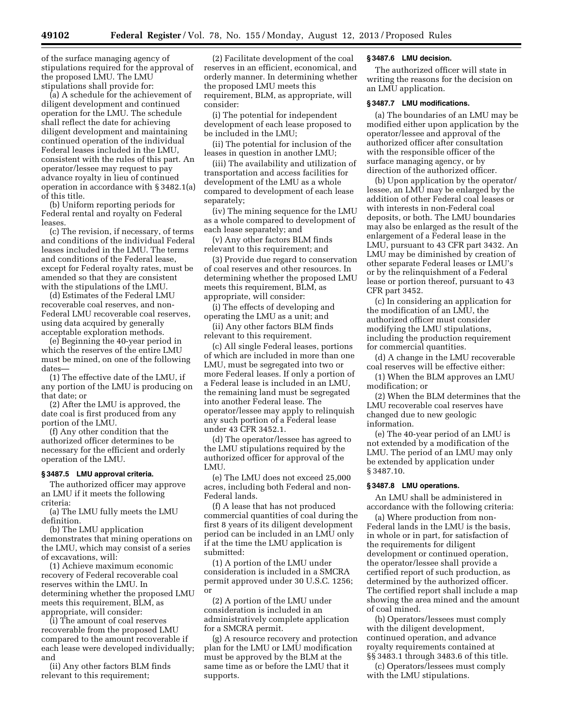of the surface managing agency of stipulations required for the approval of the proposed LMU. The LMU stipulations shall provide for:

(a) A schedule for the achievement of diligent development and continued operation for the LMU. The schedule shall reflect the date for achieving diligent development and maintaining continued operation of the individual Federal leases included in the LMU, consistent with the rules of this part. An operator/lessee may request to pay advance royalty in lieu of continued operation in accordance with § 3482.1(a) of this title.

(b) Uniform reporting periods for Federal rental and royalty on Federal leases.

(c) The revision, if necessary, of terms and conditions of the individual Federal leases included in the LMU. The terms and conditions of the Federal lease, except for Federal royalty rates, must be amended so that they are consistent with the stipulations of the LMU.

(d) Estimates of the Federal LMU recoverable coal reserves, and non-Federal LMU recoverable coal reserves, using data acquired by generally acceptable exploration methods.

(e) Beginning the 40-year period in which the reserves of the entire LMU must be mined, on one of the following dates—

(1) The effective date of the LMU, if any portion of the LMU is producing on that date; or

(2) After the LMU is approved, the date coal is first produced from any portion of the LMU.

(f) Any other condition that the authorized officer determines to be necessary for the efficient and orderly operation of the LMU.

#### **§ 3487.5 LMU approval criteria.**

The authorized officer may approve an LMU if it meets the following criteria:

(a) The LMU fully meets the LMU definition.

(b) The LMU application

demonstrates that mining operations on the LMU, which may consist of a series of excavations, will:

(1) Achieve maximum economic recovery of Federal recoverable coal reserves within the LMU. In determining whether the proposed LMU meets this requirement, BLM, as appropriate, will consider:

(i) The amount of coal reserves recoverable from the proposed LMU compared to the amount recoverable if each lease were developed individually; and

(ii) Any other factors BLM finds relevant to this requirement;

(2) Facilitate development of the coal reserves in an efficient, economical, and orderly manner. In determining whether the proposed LMU meets this requirement, BLM, as appropriate, will consider:

(i) The potential for independent development of each lease proposed to be included in the LMU;

(ii) The potential for inclusion of the leases in question in another LMU;

(iii) The availability and utilization of transportation and access facilities for development of the LMU as a whole compared to development of each lease separately;

(iv) The mining sequence for the LMU as a whole compared to development of each lease separately; and

(v) Any other factors BLM finds relevant to this requirement; and

(3) Provide due regard to conservation of coal reserves and other resources. In determining whether the proposed LMU meets this requirement, BLM, as appropriate, will consider:

(i) The effects of developing and operating the LMU as a unit; and

(ii) Any other factors BLM finds relevant to this requirement.

(c) All single Federal leases, portions of which are included in more than one LMU, must be segregated into two or more Federal leases. If only a portion of a Federal lease is included in an LMU, the remaining land must be segregated into another Federal lease. The operator/lessee may apply to relinquish any such portion of a Federal lease under 43 CFR 3452.1.

(d) The operator/lessee has agreed to the LMU stipulations required by the authorized officer for approval of the LMU.

(e) The LMU does not exceed 25,000 acres, including both Federal and non-Federal lands.

(f) A lease that has not produced commercial quantities of coal during the first 8 years of its diligent development period can be included in an LMU only if at the time the LMU application is submitted:

(1) A portion of the LMU under consideration is included in a SMCRA permit approved under 30 U.S.C. 1256; or

(2) A portion of the LMU under consideration is included in an administratively complete application for a SMCRA permit.

(g) A resource recovery and protection plan for the LMU or LMU modification must be approved by the BLM at the same time as or before the LMU that it supports.

# **§ 3487.6 LMU decision.**

The authorized officer will state in writing the reasons for the decision on an LMU application.

#### **§ 3487.7 LMU modifications.**

(a) The boundaries of an LMU may be modified either upon application by the operator/lessee and approval of the authorized officer after consultation with the responsible officer of the surface managing agency, or by direction of the authorized officer.

(b) Upon application by the operator/ lessee, an LMU may be enlarged by the addition of other Federal coal leases or with interests in non-Federal coal deposits, or both. The LMU boundaries may also be enlarged as the result of the enlargement of a Federal lease in the LMU, pursuant to 43 CFR part 3432. An LMU may be diminished by creation of other separate Federal leases or LMU's or by the relinquishment of a Federal lease or portion thereof, pursuant to 43 CFR part 3452.

(c) In considering an application for the modification of an LMU, the authorized officer must consider modifying the LMU stipulations, including the production requirement for commercial quantities.

(d) A change in the LMU recoverable coal reserves will be effective either:

(1) When the BLM approves an LMU modification; or

(2) When the BLM determines that the LMU recoverable coal reserves have changed due to new geologic information.

(e) The 40-year period of an LMU is not extended by a modification of the LMU. The period of an LMU may only be extended by application under § 3487.10.

#### **§ 3487.8 LMU operations.**

An LMU shall be administered in accordance with the following criteria:

(a) Where production from non-Federal lands in the LMU is the basis, in whole or in part, for satisfaction of the requirements for diligent development or continued operation, the operator/lessee shall provide a certified report of such production, as determined by the authorized officer. The certified report shall include a map showing the area mined and the amount of coal mined.

(b) Operators/lessees must comply with the diligent development, continued operation, and advance royalty requirements contained at §§ 3483.1 through 3483.6 of this title.

(c) Operators/lessees must comply with the LMU stipulations.